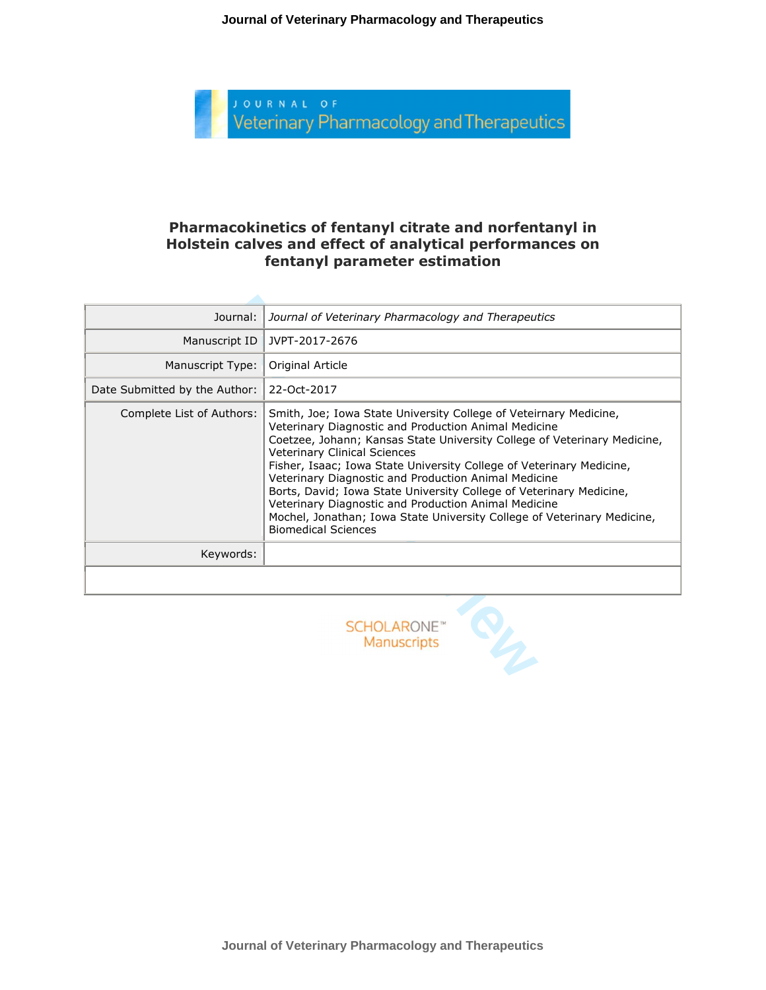

#### **Pharmacokinetics of fentanyl citrate and norfentanyl in Holstein calves and effect of analytical performances on fentanyl parameter estimation**

| Journal:                      | Journal of Veterinary Pharmacology and Therapeutics                                                                                                                                                                                                                                                                                                                                                                                                                                                                                                                                                                  |
|-------------------------------|----------------------------------------------------------------------------------------------------------------------------------------------------------------------------------------------------------------------------------------------------------------------------------------------------------------------------------------------------------------------------------------------------------------------------------------------------------------------------------------------------------------------------------------------------------------------------------------------------------------------|
| Manuscript ID                 | JVPT-2017-2676                                                                                                                                                                                                                                                                                                                                                                                                                                                                                                                                                                                                       |
| Manuscript Type:              | Original Article                                                                                                                                                                                                                                                                                                                                                                                                                                                                                                                                                                                                     |
| Date Submitted by the Author: | 22-Oct-2017                                                                                                                                                                                                                                                                                                                                                                                                                                                                                                                                                                                                          |
| Complete List of Authors:     | Smith, Joe; Iowa State University College of Veteirnary Medicine,<br>Veterinary Diagnostic and Production Animal Medicine<br>Coetzee, Johann; Kansas State University College of Veterinary Medicine,<br><b>Veterinary Clinical Sciences</b><br>Fisher, Isaac; Iowa State University College of Veterinary Medicine,<br>Veterinary Diagnostic and Production Animal Medicine<br>Borts, David; Iowa State University College of Veterinary Medicine,<br>Veterinary Diagnostic and Production Animal Medicine<br>Mochel, Jonathan; Iowa State University College of Veterinary Medicine,<br><b>Biomedical Sciences</b> |
| Keywords:                     |                                                                                                                                                                                                                                                                                                                                                                                                                                                                                                                                                                                                                      |
|                               |                                                                                                                                                                                                                                                                                                                                                                                                                                                                                                                                                                                                                      |



**Journal of Veterinary Pharmacology and Therapeutics**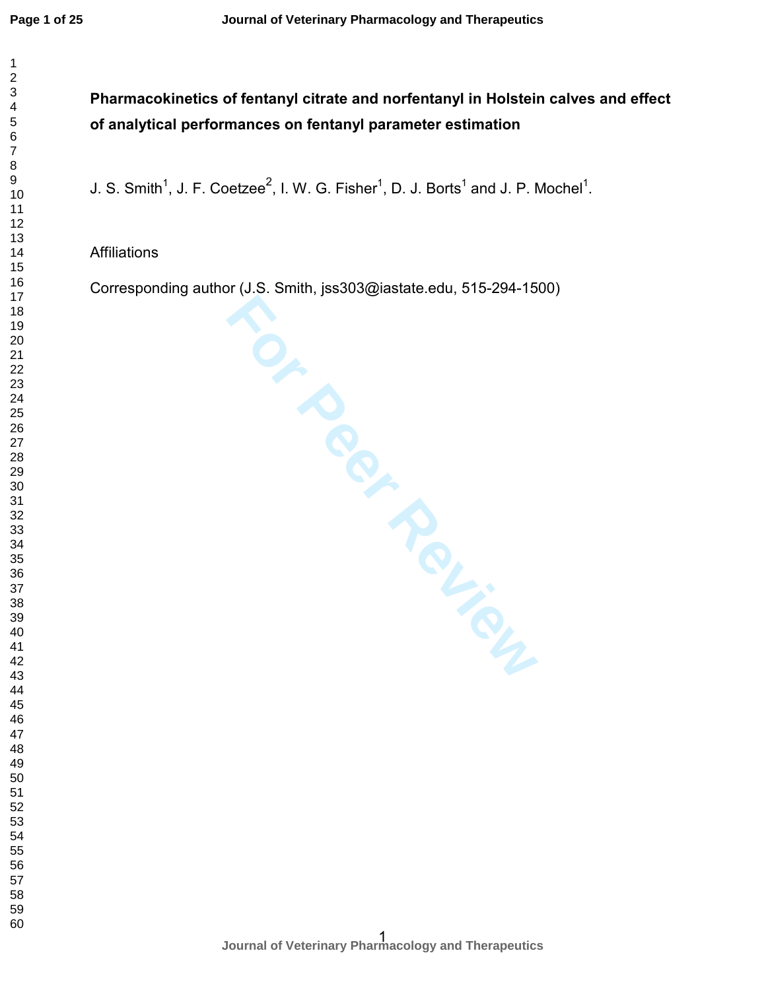$\mathbf{1}$ 

# **Pharmacokinetics of fentanyl citrate and norfentanyl in Holstein calves and effect of analytical performances on fentanyl parameter estimation**

J. S. Smith<sup>1</sup>, J. F. Coetzee<sup>2</sup>, I. W. G. Fisher<sup>1</sup>, D. J. Borts<sup>1</sup> and J. P. Mochel<sup>1</sup>. <sup>1</sup>, J. F. Coetzee<sup>2</sup>, I. W. G. Fisher<sup>1</sup>, D. J. Borts<sup>1</sup> and J. P. Mochel<sup>1</sup>.

### Affiliations

**For Per Review** Corresponding author (J.S. Smith, jss303@iastate.edu, 515-294-1500)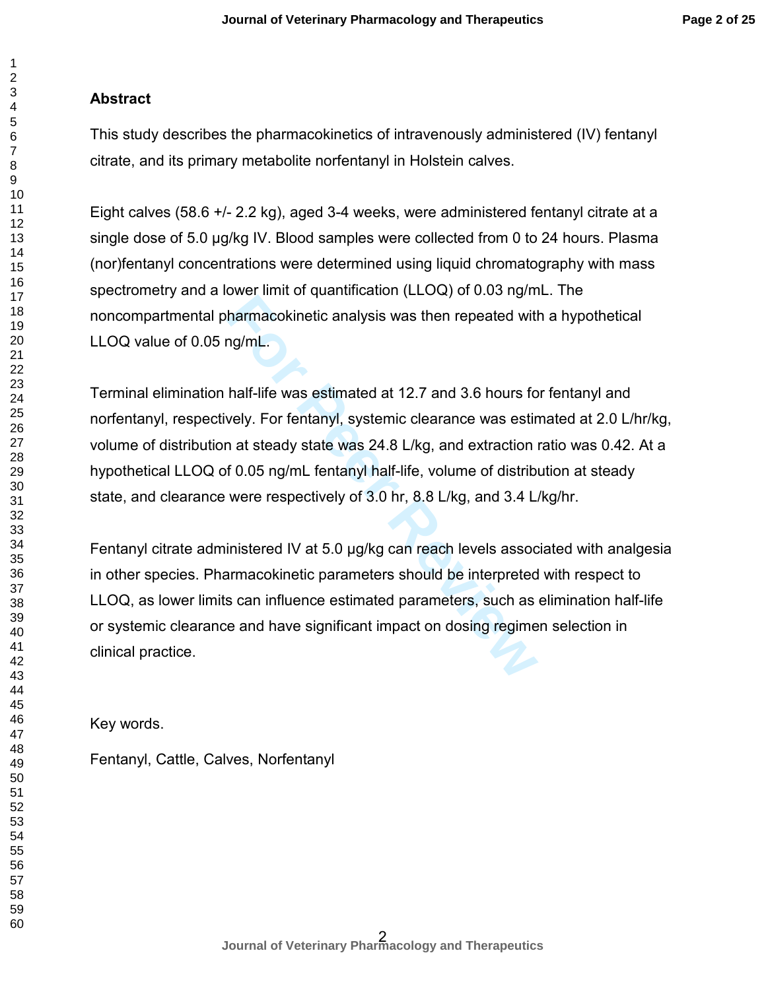### **Abstract**

This study describes the pharmacokinetics of intravenously administered (IV) fentanyl citrate, and its primary metabolite norfentanyl in Holstein calves.

Eight calves (58.6 +/- 2.2 kg), aged 3-4 weeks, were administered fentanyl citrate at a single dose of 5.0 µg/kg IV. Blood samples were collected from 0 to 24 hours. Plasma (nor)fentanyl concentrations were determined using liquid chromatography with mass spectrometry and a lower limit of quantification (LLOQ) of 0.03 ng/mL. The noncompartmental pharmacokinetic analysis was then repeated with a hypothetical LLOQ value of 0.05 ng/mL.

Terminal elimination half-life was estimated at 12.7 and 3.6 hours for fentanyl and norfentanyl, respectively. For fentanyl, systemic clearance was estimated at 2.0 L/hr/kg, volume of distribution at steady state was 24.8 L/kg, and extraction ratio was 0.42. At a hypothetical LLOQ of 0.05 ng/mL fentanyl half-life, volume of distribution at steady state, and clearance were respectively of 3.0 hr, 8.8 L/kg, and 3.4 L/kg/hr.

For an experiment of quantization (LLC) of the engines.<br> **For Peer Review Common Section Andally Section** that<br> **For For Fentanyl**, systemic clearance was estimed<br> **For Pentanyl, systemic clearance was estimed of 0.05 ng/m** Fentanyl citrate administered IV at 5.0 µg/kg can reach levels associated with analgesia in other species. Pharmacokinetic parameters should be interpreted with respect to LLOQ, as lower limits can influence estimated parameters, such as elimination half-life or systemic clearance and have significant impact on dosing regimen selection in clinical practice.

Key words.

Fentanyl, Cattle, Calves, Norfentanyl

 $\mathbf{1}$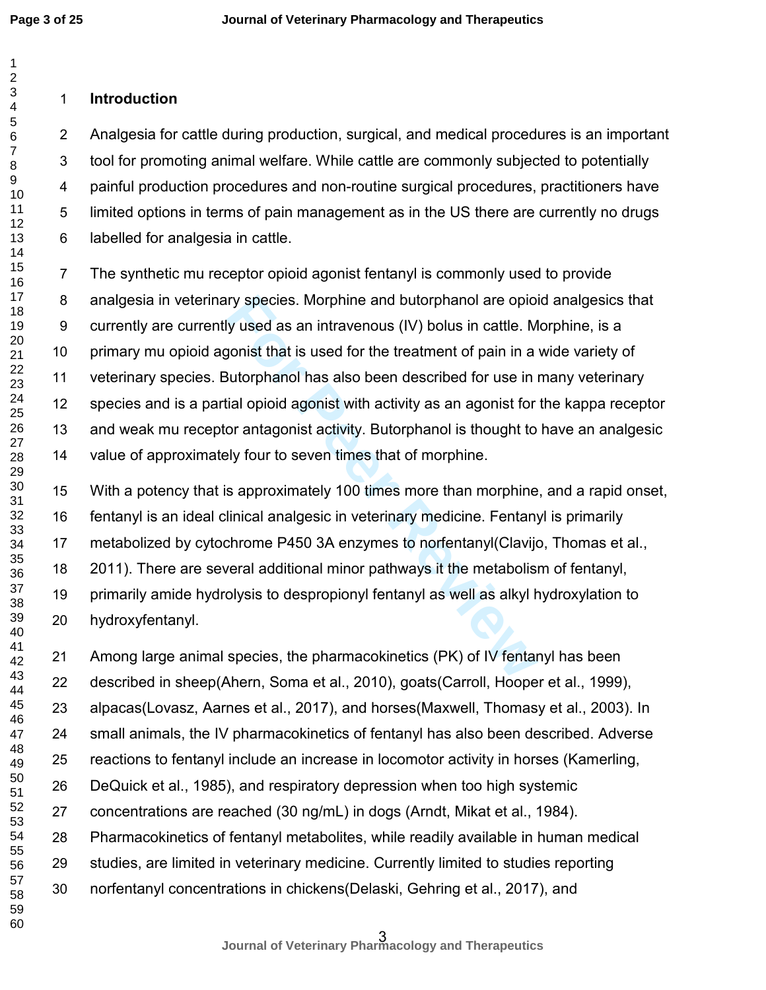**Page 3 of 25**

#### $\overline{2}$

# **Introduction**

Analgesia for cattle during production, surgical, and medical procedures is an important tool for promoting animal welfare. While cattle are commonly subjected to potentially painful production procedures and non-routine surgical procedures, practitioners have limited options in terms of pain management as in the US there are currently no drugs labelled for analgesia in cattle.

Iry species. Morphine and butorphanol are opiointy used as an intravenous (IV) bolus in cattle. M<br>gonist that is used for the treatment of pain in a<br>Butorphanol has also been described for use in i<br>iial opioid agonist with The synthetic mu receptor opioid agonist fentanyl is commonly used to provide analgesia in veterinary species. Morphine and butorphanol are opioid analgesics that currently are currently used as an intravenous (IV) bolus in cattle. Morphine, is a primary mu opioid agonist that is used for the treatment of pain in a wide variety of veterinary species. Butorphanol has also been described for use in many veterinary species and is a partial opioid agonist with activity as an agonist for the kappa receptor and weak mu receptor antagonist activity. Butorphanol is thought to have an analgesic value of approximately four to seven times that of morphine.

With a potency that is approximately 100 times more than morphine, and a rapid onset, fentanyl is an ideal clinical analgesic in veterinary medicine. Fentanyl is primarily metabolized by cytochrome P450 3A enzymes to norfentanyl(Clavijo, Thomas et al., 2011). There are several additional minor pathways it the metabolism of fentanyl, primarily amide hydrolysis to despropionyl fentanyl as well as alkyl hydroxylation to hydroxyfentanyl.

Among large animal species, the pharmacokinetics (PK) of IV fentanyl has been described in sheep(Ahern, Soma et al., 2010), goats(Carroll, Hooper et al., 1999), alpacas(Lovasz, Aarnes et al., 2017), and horses(Maxwell, Thomasy et al., 2003). In small animals, the IV pharmacokinetics of fentanyl has also been described. Adverse reactions to fentanyl include an increase in locomotor activity in horses (Kamerling, DeQuick et al., 1985), and respiratory depression when too high systemic concentrations are reached (30 ng/mL) in dogs (Arndt, Mikat et al., 1984). Pharmacokinetics of fentanyl metabolites, while readily available in human medical studies, are limited in veterinary medicine. Currently limited to studies reporting norfentanyl concentrations in chickens(Delaski, Gehring et al., 2017), and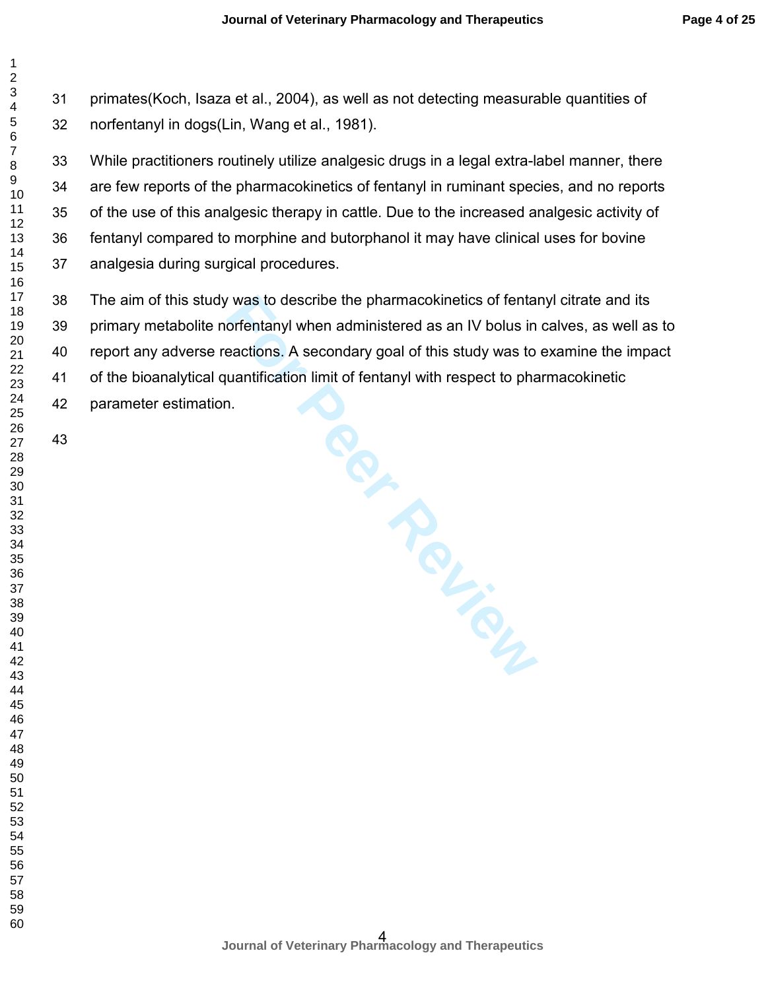primates(Koch, Isaza et al., 2004), as well as not detecting measurable quantities of norfentanyl in dogs(Lin, Wang et al., 1981).

While practitioners routinely utilize analgesic drugs in a legal extra-label manner, there are few reports of the pharmacokinetics of fentanyl in ruminant species, and no reports of the use of this analgesic therapy in cattle. Due to the increased analgesic activity of fentanyl compared to morphine and butorphanol it may have clinical uses for bovine analgesia during surgical procedures.

The aim of this study was to describe the pharmacokinetics of fentanyl citrate and its primary metabolite norfentanyl when administered as an IV bolus in calves, as well as to report any adverse reactions. A secondary goal of this study was to examine the impact of the bioanalytical quantification limit of fentanyl with respect to pharmacokinetic parameter estimation.

 $\mathbf 1$  $\overline{2}$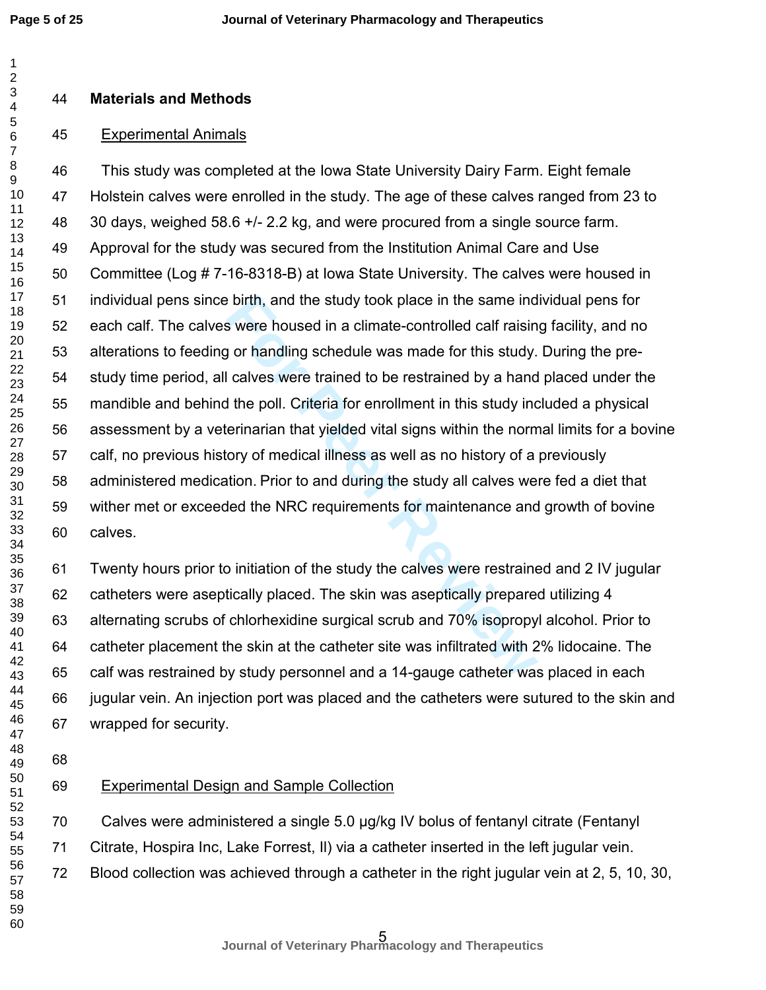$\mathbf{1}$ 

#### **Materials and Methods**

#### Experimental Animals

For brighth, and the study took place in the same ind<br>
Simular were housed in a climate-controlled calf raisin<br>
Jor handling schedule was made for this study.<br>
Lalves were trained to be restrained by a hand<br>
He poll. Crite This study was completed at the Iowa State University Dairy Farm. Eight female Holstein calves were enrolled in the study. The age of these calves ranged from 23 to 30 days, weighed 58.6 +/- 2.2 kg, and were procured from a single source farm. Approval for the study was secured from the Institution Animal Care and Use Committee (Log # 7-16-8318-B) at Iowa State University. The calves were housed in individual pens since birth, and the study took place in the same individual pens for each calf. The calves were housed in a climate-controlled calf raising facility, and no alterations to feeding or handling schedule was made for this study. During the pre-study time period, all calves were trained to be restrained by a hand placed under the mandible and behind the poll. Criteria for enrollment in this study included a physical assessment by a veterinarian that yielded vital signs within the normal limits for a bovine calf, no previous history of medical illness as well as no history of a previously administered medication. Prior to and during the study all calves were fed a diet that wither met or exceeded the NRC requirements for maintenance and growth of bovine calves.

Twenty hours prior to initiation of the study the calves were restrained and 2 IV jugular catheters were aseptically placed. The skin was aseptically prepared utilizing 4 alternating scrubs of chlorhexidine surgical scrub and 70% isopropyl alcohol. Prior to catheter placement the skin at the catheter site was infiltrated with 2% lidocaine. The calf was restrained by study personnel and a 14-gauge catheter was placed in each jugular vein. An injection port was placed and the catheters were sutured to the skin and wrapped for security.

## Experimental Design and Sample Collection

Calves were administered a single 5.0 µg/kg IV bolus of fentanyl citrate (Fentanyl

Citrate, Hospira Inc, Lake Forrest, Il) via a catheter inserted in the left jugular vein.

Blood collection was achieved through a catheter in the right jugular vein at 2, 5, 10, 30,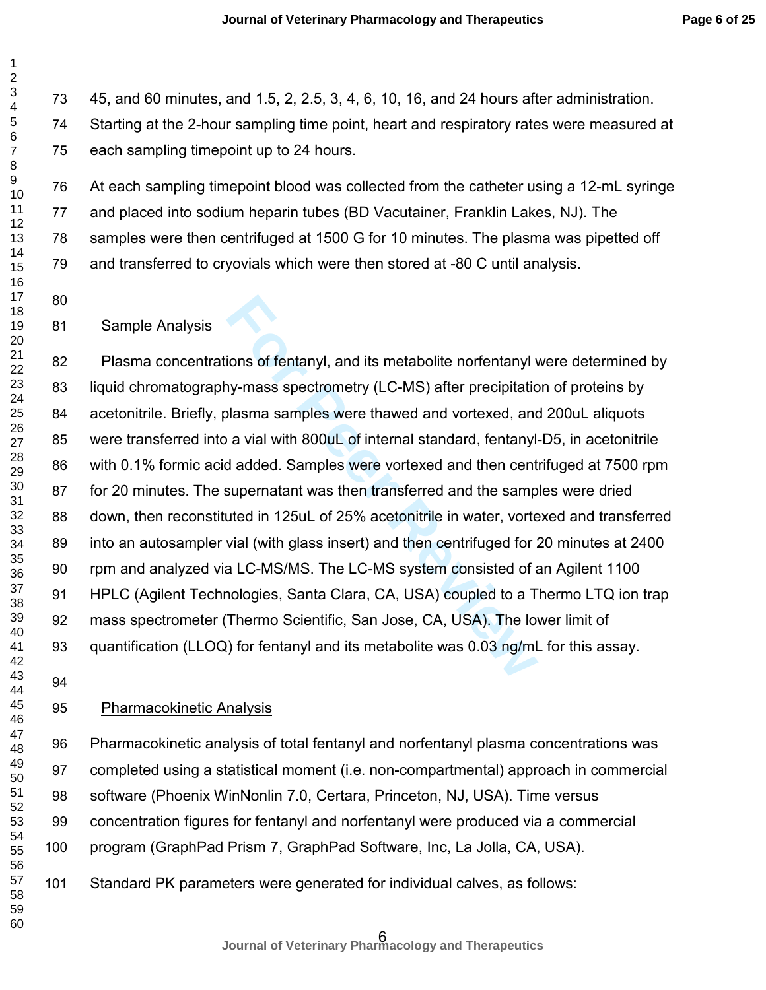45, and 60 minutes, and 1.5, 2, 2.5, 3, 4, 6, 10, 16, and 24 hours after administration. Starting at the 2-hour sampling time point, heart and respiratory rates were measured at each sampling timepoint up to 24 hours.

At each sampling timepoint blood was collected from the catheter using a 12-mL syringe and placed into sodium heparin tubes (BD Vacutainer, Franklin Lakes, NJ). The samples were then centrifuged at 1500 G for 10 minutes. The plasma was pipetted off and transferred to cryovials which were then stored at -80 C until analysis.

#### Sample Analysis

ions of fentanyl, and its metabolite norfentanyl in the univery-mass spectrometry (LC-MS) after precipitation<br>Ilasma samples were thawed and vortexed, and<br>a vial with 800uL of internal standard, fentanyl-<br>I added. Samples Plasma concentrations of fentanyl, and its metabolite norfentanyl were determined by liquid chromatography-mass spectrometry (LC-MS) after precipitation of proteins by acetonitrile. Briefly, plasma samples were thawed and vortexed, and 200uL aliquots were transferred into a vial with 800uL of internal standard, fentanyl-D5, in acetonitrile with 0.1% formic acid added. Samples were vortexed and then centrifuged at 7500 rpm for 20 minutes. The supernatant was then transferred and the samples were dried down, then reconstituted in 125uL of 25% acetonitrile in water, vortexed and transferred into an autosampler vial (with glass insert) and then centrifuged for 20 minutes at 2400 rpm and analyzed via LC-MS/MS. The LC-MS system consisted of an Agilent 1100 HPLC (Agilent Technologies, Santa Clara, CA, USA) coupled to a Thermo LTQ ion trap mass spectrometer (Thermo Scientific, San Jose, CA, USA). The lower limit of quantification (LLOQ) for fentanyl and its metabolite was 0.03 ng/mL for this assay.

#### Pharmacokinetic Analysis

Pharmacokinetic analysis of total fentanyl and norfentanyl plasma concentrations was completed using a statistical moment (i.e. non-compartmental) approach in commercial software (Phoenix WinNonlin 7.0, Certara, Princeton, NJ, USA). Time versus concentration figures for fentanyl and norfentanyl were produced via a commercial program (GraphPad Prism 7, GraphPad Software, Inc, La Jolla, CA, USA).

Standard PK parameters were generated for individual calves, as follows: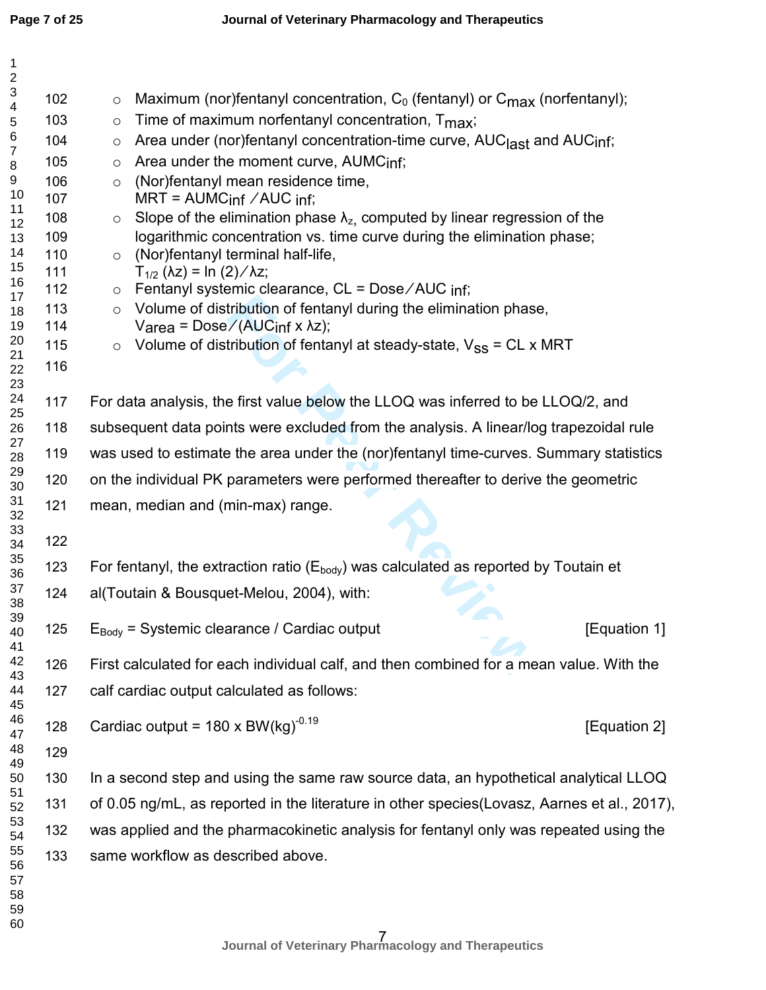| $\mathbf{1}$<br>$\sqrt{2}$            |            |                                                                                                                                                                        |  |  |  |  |  |
|---------------------------------------|------------|------------------------------------------------------------------------------------------------------------------------------------------------------------------------|--|--|--|--|--|
| $\ensuremath{\mathsf{3}}$             | 102        | Maximum (nor)fentanyl concentration, $C_0$ (fentanyl) or $C_{\text{max}}$ (norfentanyl);<br>$\circ$                                                                    |  |  |  |  |  |
| $\overline{\mathbf{4}}$<br>$\sqrt{5}$ | 103        | Time of maximum norfentanyl concentration, $T_{\text{max}}$ ;<br>$\circ$                                                                                               |  |  |  |  |  |
| $\,6$                                 | 104        | Area under (nor)fentanyl concentration-time curve, AUC <sub>last</sub> and AUC <sub>inf</sub> ;<br>$\circ$                                                             |  |  |  |  |  |
| $\overline{7}$<br>8                   | 105        | Area under the moment curve, AUMCinf;<br>$\circ$                                                                                                                       |  |  |  |  |  |
| 9                                     | 106        | (Nor)fentanyl mean residence time,<br>$\circ$                                                                                                                          |  |  |  |  |  |
| 10<br>11                              | 107        | $MRT = AUMCinf / AUCinf$ ;                                                                                                                                             |  |  |  |  |  |
| 12                                    | 108<br>109 | Slope of the elimination phase $\lambda_z$ , computed by linear regression of the<br>$\circ$<br>logarithmic concentration vs. time curve during the elimination phase; |  |  |  |  |  |
| 13<br>14                              | 110        | (Nor)fentanyl terminal half-life,<br>$\circ$                                                                                                                           |  |  |  |  |  |
| 15                                    | 111        | $T_{1/2}$ (λz) = ln (2)/λz;                                                                                                                                            |  |  |  |  |  |
| 16<br>17                              | 112        | Fentanyl systemic clearance, CL = Dose/AUC inf;<br>$\circ$                                                                                                             |  |  |  |  |  |
| 18                                    | 113        | Volume of distribution of fentanyl during the elimination phase,<br>$\circ$                                                                                            |  |  |  |  |  |
| 19<br>20                              | 114<br>115 | Varea = $Dose/(AUCinf x \lambda z)$ ;                                                                                                                                  |  |  |  |  |  |
| 21                                    | 116        | Volume of distribution of fentanyl at steady-state, $V_{SS}$ = CL x MRT<br>$\circ$                                                                                     |  |  |  |  |  |
| 22<br>23                              |            |                                                                                                                                                                        |  |  |  |  |  |
| 24<br>25                              | 117        | For data analysis, the first value below the LLOQ was inferred to be LLOQ/2, and                                                                                       |  |  |  |  |  |
| 26                                    | 118        | subsequent data points were excluded from the analysis. A linear/log trapezoidal rule                                                                                  |  |  |  |  |  |
| 27<br>28                              | 119        | was used to estimate the area under the (nor)fentanyl time-curves. Summary statistics                                                                                  |  |  |  |  |  |
| 29<br>30                              | 120        | on the individual PK parameters were performed thereafter to derive the geometric                                                                                      |  |  |  |  |  |
| 31<br>32                              | 121        | mean, median and (min-max) range.                                                                                                                                      |  |  |  |  |  |
| 33                                    | 122        |                                                                                                                                                                        |  |  |  |  |  |
| 34<br>35                              |            |                                                                                                                                                                        |  |  |  |  |  |
| 36                                    | 123        | For fentanyl, the extraction ratio ( $E_{body}$ ) was calculated as reported by Toutain et                                                                             |  |  |  |  |  |
| 37<br>38                              | 124        | al(Toutain & Bousquet-Melou, 2004), with:                                                                                                                              |  |  |  |  |  |
| 39<br>40<br>41                        | 125        | $E_{Body}$ = Systemic clearance / Cardiac output<br>[Equation 1]                                                                                                       |  |  |  |  |  |
| 42<br>43                              | 126        | First calculated for each individual calf, and then combined for a mean value. With the                                                                                |  |  |  |  |  |
| 44<br>45                              | 127        | calf cardiac output calculated as follows:                                                                                                                             |  |  |  |  |  |
| 46<br>47                              | 128        | Cardiac output = $180 \times BW(\text{kg})^{-0.19}$<br>[Equation 2]                                                                                                    |  |  |  |  |  |
| 48<br>49                              | 129        |                                                                                                                                                                        |  |  |  |  |  |
| 50                                    | 130        | In a second step and using the same raw source data, an hypothetical analytical LLOQ                                                                                   |  |  |  |  |  |
| 51<br>52                              | 131        | of 0.05 ng/mL, as reported in the literature in other species (Lovasz, Aarnes et al., 2017),                                                                           |  |  |  |  |  |
| 53<br>54                              | 132        | was applied and the pharmacokinetic analysis for fentanyl only was repeated using the                                                                                  |  |  |  |  |  |
| 55<br>56<br>57<br>58<br>59<br>60      | 133        | same workflow as described above.                                                                                                                                      |  |  |  |  |  |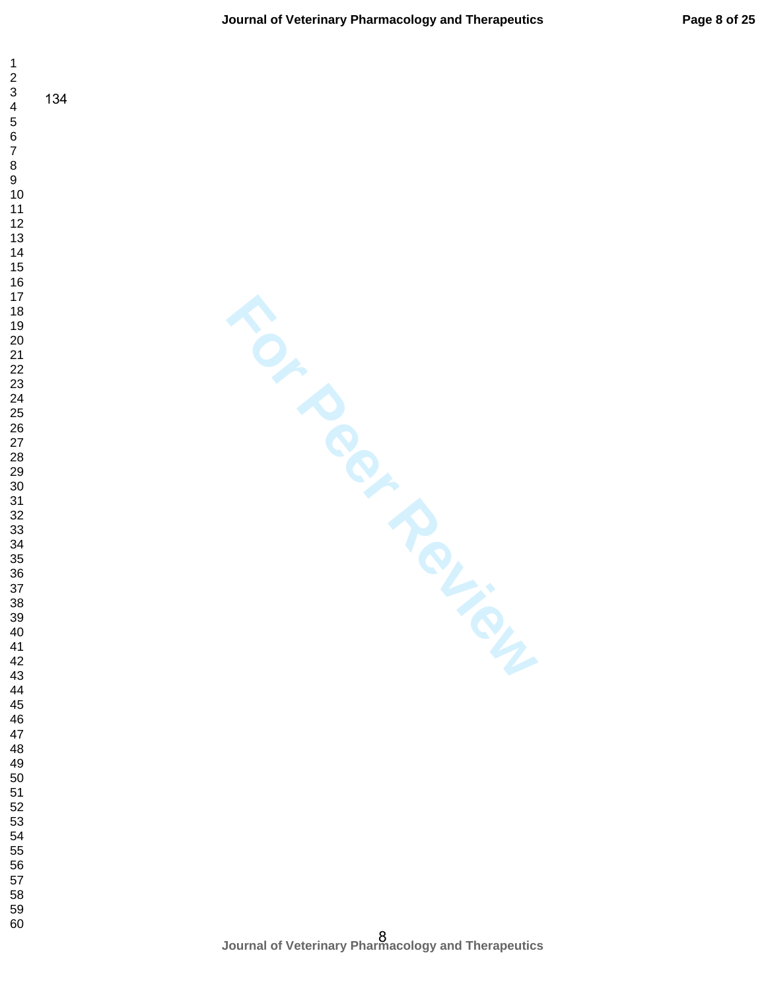$\mathbf 1$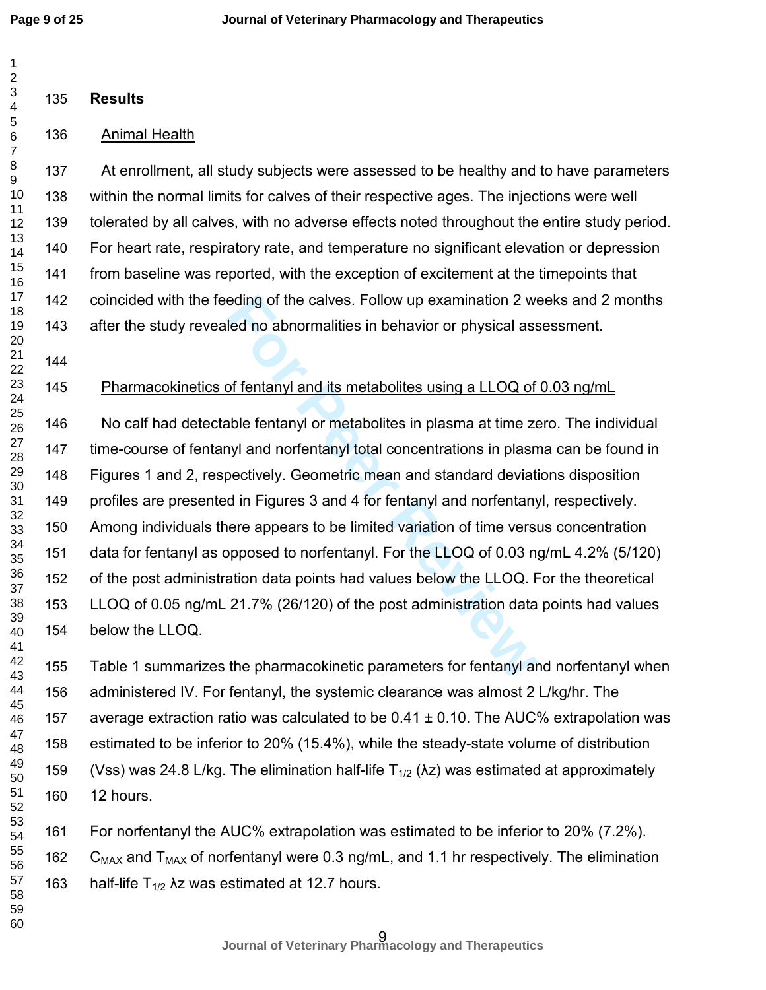| 1<br>2                   |     |                                                                                                        |
|--------------------------|-----|--------------------------------------------------------------------------------------------------------|
| 3<br>4                   | 135 | <b>Results</b>                                                                                         |
| 5<br>6<br>$\overline{7}$ | 136 | <b>Animal Health</b>                                                                                   |
| 8<br>9                   | 137 | At enrollment, all study subjects were assessed to be healthy and to have parameters                   |
| 10<br>11                 | 138 | within the normal limits for calves of their respective ages. The injections were well                 |
| 12                       | 139 | tolerated by all calves, with no adverse effects noted throughout the entire study period.             |
| 13<br>14                 | 140 | For heart rate, respiratory rate, and temperature no significant elevation or depression               |
| 15<br>16                 | 141 | from baseline was reported, with the exception of excitement at the timepoints that                    |
| 17<br>18                 | 142 | coincided with the feeding of the calves. Follow up examination 2 weeks and 2 months                   |
| 19                       | 143 | after the study revealed no abnormalities in behavior or physical assessment.                          |
| 20<br>21                 | 144 |                                                                                                        |
| 22<br>23                 | 145 | Pharmacokinetics of fentanyl and its metabolites using a LLOQ of 0.03 ng/mL                            |
| 24<br>25                 |     |                                                                                                        |
| 26<br>27                 | 146 | No calf had detectable fentanyl or metabolites in plasma at time zero. The individual                  |
| 28                       | 147 | time-course of fentanyl and norfentanyl total concentrations in plasma can be found in                 |
| 29<br>30                 | 148 | Figures 1 and 2, respectively. Geometric mean and standard deviations disposition                      |
| 31<br>32                 | 149 | profiles are presented in Figures 3 and 4 for fentanyl and norfentanyl, respectively.                  |
| 33<br>34                 | 150 | Among individuals there appears to be limited variation of time versus concentration                   |
| 35                       | 151 | data for fentanyl as opposed to norfentanyl. For the LLOQ of 0.03 ng/mL 4.2% (5/120)                   |
| 36<br>37                 | 152 | of the post administration data points had values below the LLOQ. For the theoretical                  |
| 38<br>39                 | 153 | LLOQ of 0.05 ng/mL 21.7% (26/120) of the post administration data points had values                    |
| 40<br>41                 | 154 | below the LLOQ.                                                                                        |
| 42<br>43                 | 155 | Table 1 summarizes the pharmacokinetic parameters for fentanyl and norfentanyl when                    |
| 44                       | 156 | administered IV. For fentanyl, the systemic clearance was almost 2 L/kg/hr. The                        |
| 45<br>46                 | 157 | average extraction ratio was calculated to be $0.41 \pm 0.10$ . The AUC% extrapolation was             |
| 47<br>48                 | 158 | estimated to be inferior to 20% (15.4%), while the steady-state volume of distribution                 |
| 49<br>50                 | 159 | (Vss) was 24.8 L/kg. The elimination half-life $T_{1/2}$ ( $\lambda$ z) was estimated at approximately |
| 51<br>52                 | 160 | 12 hours.                                                                                              |
| 53<br>54                 | 161 | For norfentanyl the AUC% extrapolation was estimated to be inferior to 20% (7.2%).                     |
| 55<br>56                 | 162 | $C_{MAX}$ and $T_{MAX}$ of norfentanyl were 0.3 ng/mL, and 1.1 hr respectively. The elimination        |
| 57<br>58<br>59<br>60     | 163 | half-life $T_{1/2}$ $\lambda$ z was estimated at 12.7 hours.                                           |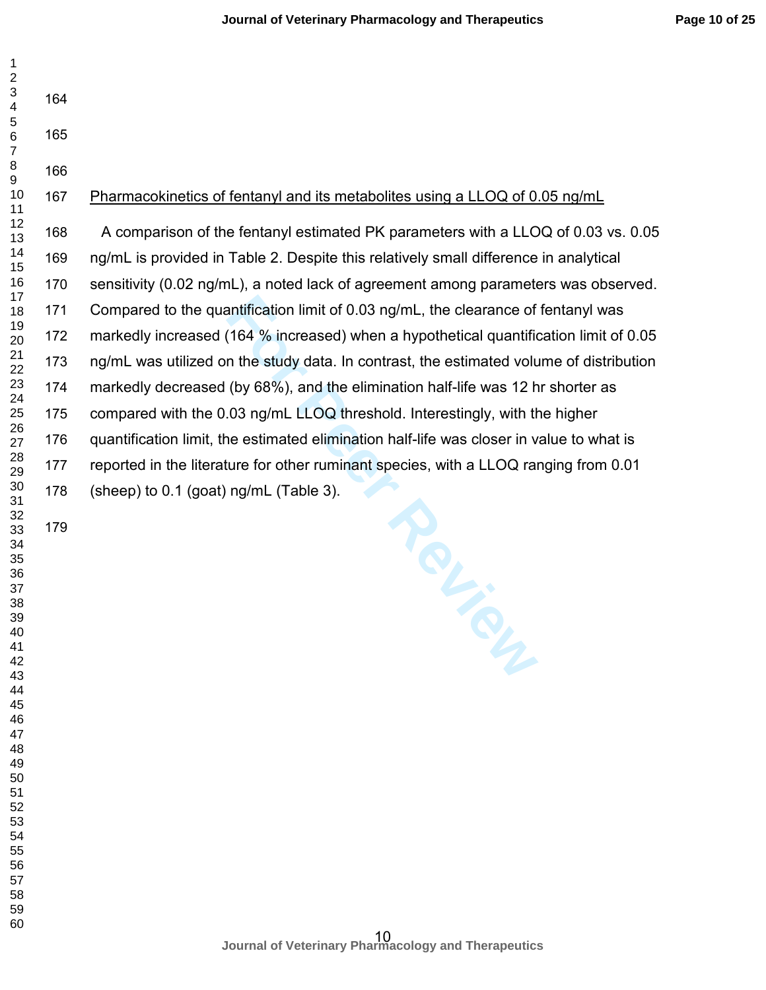| $\mathbf{1}$<br>$\boldsymbol{2}$                     |     |                                                                                          |
|------------------------------------------------------|-----|------------------------------------------------------------------------------------------|
| $\ensuremath{\mathsf{3}}$<br>$\overline{\mathbf{4}}$ | 164 |                                                                                          |
| 5<br>$\,6$                                           | 165 |                                                                                          |
| $\overline{7}$<br>8                                  | 166 |                                                                                          |
| $\boldsymbol{9}$                                     |     |                                                                                          |
| 10<br>11                                             | 167 | Pharmacokinetics of fentanyl and its metabolites using a LLOQ of 0.05 ng/mL              |
| 12<br>13                                             | 168 | A comparison of the fentanyl estimated PK parameters with a LLOQ of 0.03 vs. 0.05        |
| 14<br>15                                             | 169 | ng/mL is provided in Table 2. Despite this relatively small difference in analytical     |
| 16<br>17                                             | 170 | sensitivity (0.02 ng/mL), a noted lack of agreement among parameters was observed.       |
| 18                                                   | 171 | Compared to the quantification limit of 0.03 ng/mL, the clearance of fentanyl was        |
| 19<br>20                                             | 172 | markedly increased (164 % increased) when a hypothetical quantification limit of 0.05    |
| 21<br>22                                             | 173 | ng/mL was utilized on the study data. In contrast, the estimated volume of distribution  |
| 23<br>24                                             | 174 | markedly decreased (by 68%), and the elimination half-life was 12 hr shorter as          |
| 25                                                   | 175 | compared with the 0.03 ng/mL LLOQ threshold. Interestingly, with the higher              |
| 26<br>27                                             | 176 | quantification limit, the estimated elimination half-life was closer in value to what is |
| 28<br>29                                             | 177 | reported in the literature for other ruminant species, with a LLOQ ranging from 0.01     |
| 30<br>31                                             | 178 | (sheep) to 0.1 (goat) ng/mL (Table 3).                                                   |
| 32                                                   | 179 |                                                                                          |
| 33<br>34                                             |     |                                                                                          |
| 35<br>36                                             |     | TOL                                                                                      |
| 37<br>38                                             |     |                                                                                          |
| 39                                                   |     |                                                                                          |
| 40<br>41                                             |     |                                                                                          |
| 42<br>43                                             |     |                                                                                          |
| 44<br>45                                             |     |                                                                                          |
| 46                                                   |     |                                                                                          |
| 47<br>48                                             |     |                                                                                          |
| 49<br>50                                             |     |                                                                                          |
| 51                                                   |     |                                                                                          |
| 52<br>53                                             |     |                                                                                          |
| 54<br>55                                             |     |                                                                                          |
| 56<br>57                                             |     |                                                                                          |
| 58                                                   |     |                                                                                          |
| 59<br>60                                             |     |                                                                                          |
|                                                      |     | Journal of Veterinary Pharmacology and Therapeutics                                      |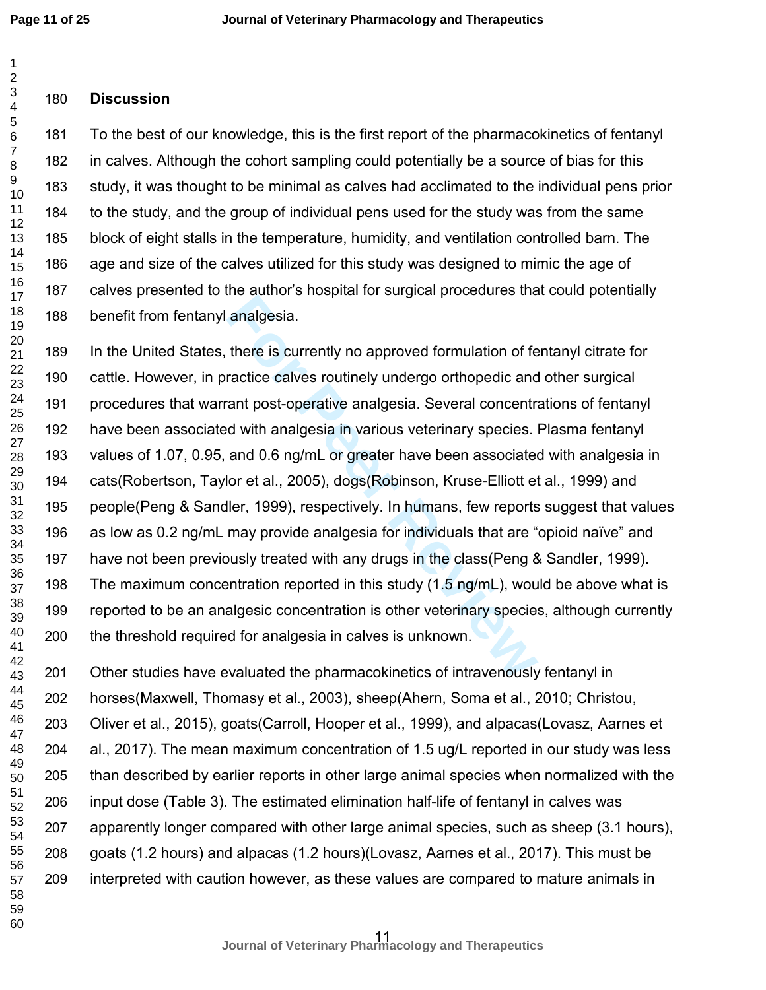### **Discussion**

To the best of our knowledge, this is the first report of the pharmacokinetics of fentanyl in calves. Although the cohort sampling could potentially be a source of bias for this study, it was thought to be minimal as calves had acclimated to the individual pens prior to the study, and the group of individual pens used for the study was from the same block of eight stalls in the temperature, humidity, and ventilation controlled barn. The age and size of the calves utilized for this study was designed to mimic the age of calves presented to the author's hospital for surgical procedures that could potentially benefit from fentanyl analgesia.

analgesia.<br>
there is currently no approved formulation of fe<br>
ractice calves routinely undergo orthopedic and<br>
ant post-operative analgesia. Several concentral<br>
d with analgesia in various veterinary species.<br>
l and 0.6 ng In the United States, there is currently no approved formulation of fentanyl citrate for cattle. However, in practice calves routinely undergo orthopedic and other surgical procedures that warrant post-operative analgesia. Several concentrations of fentanyl have been associated with analgesia in various veterinary species. Plasma fentanyl values of 1.07, 0.95, and 0.6 ng/mL or greater have been associated with analgesia in cats(Robertson, Taylor et al., 2005), dogs(Robinson, Kruse-Elliott et al., 1999) and people(Peng & Sandler, 1999), respectively. In humans, few reports suggest that values as low as 0.2 ng/mL may provide analgesia for individuals that are "opioid naïve" and have not been previously treated with any drugs in the class(Peng & Sandler, 1999). The maximum concentration reported in this study (1.5 ng/mL), would be above what is reported to be an analgesic concentration is other veterinary species, although currently the threshold required for analgesia in calves is unknown.

Other studies have evaluated the pharmacokinetics of intravenously fentanyl in horses(Maxwell, Thomasy et al., 2003), sheep(Ahern, Soma et al., 2010; Christou, Oliver et al., 2015), goats(Carroll, Hooper et al., 1999), and alpacas(Lovasz, Aarnes et al., 2017). The mean maximum concentration of 1.5 ug/L reported in our study was less than described by earlier reports in other large animal species when normalized with the input dose (Table 3). The estimated elimination half-life of fentanyl in calves was apparently longer compared with other large animal species, such as sheep (3.1 hours), goats (1.2 hours) and alpacas (1.2 hours)(Lovasz, Aarnes et al., 2017). This must be interpreted with caution however, as these values are compared to mature animals in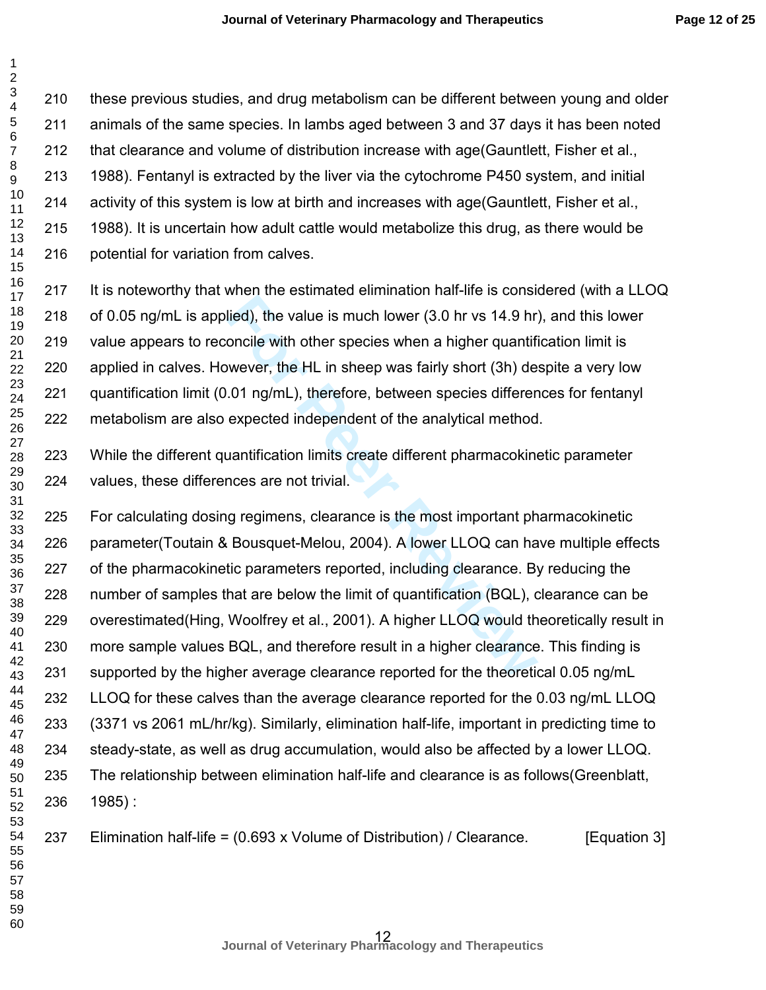First are seminated bumble in the transfer that the transfer died), the value is much lower (3.0 hr vs 14.9 hr) oncile with other species when a higher quantifive wever, the HL in sheep was fairly short (3h) de .01 ng/mL), these previous studies, and drug metabolism can be different between young and older animals of the same species. In lambs aged between 3 and 37 days it has been noted that clearance and volume of distribution increase with age(Gauntlett, Fisher et al., 1988). Fentanyl is extracted by the liver via the cytochrome P450 system, and initial activity of this system is low at birth and increases with age(Gauntlett, Fisher et al., 1988). It is uncertain how adult cattle would metabolize this drug, as there would be potential for variation from calves. It is noteworthy that when the estimated elimination half-life is considered (with a LLOQ of 0.05 ng/mL is applied), the value is much lower (3.0 hr vs 14.9 hr), and this lower value appears to reconcile with other species when a higher quantification limit is applied in calves. However, the HL in sheep was fairly short (3h) despite a very low quantification limit (0.01 ng/mL), therefore, between species differences for fentanyl metabolism are also expected independent of the analytical method. While the different quantification limits create different pharmacokinetic parameter values, these differences are not trivial. For calculating dosing regimens, clearance is the most important pharmacokinetic parameter(Toutain & Bousquet-Melou, 2004). A lower LLOQ can have multiple effects of the pharmacokinetic parameters reported, including clearance. By reducing the number of samples that are below the limit of quantification (BQL), clearance can be overestimated(Hing, Woolfrey et al., 2001). A higher LLOQ would theoretically result in more sample values BQL, and therefore result in a higher clearance. This finding is supported by the higher average clearance reported for the theoretical 0.05 ng/mL LLOQ for these calves than the average clearance reported for the 0.03 ng/mL LLOQ (3371 vs 2061 mL/hr/kg). Similarly, elimination half-life, important in predicting time to steady-state, as well as drug accumulation, would also be affected by a lower LLOQ. The relationship between elimination half-life and clearance is as follows(Greenblatt, 1985) : Elimination half-life = (0.693 x Volume of Distribution) / Clearance. [Equation 3]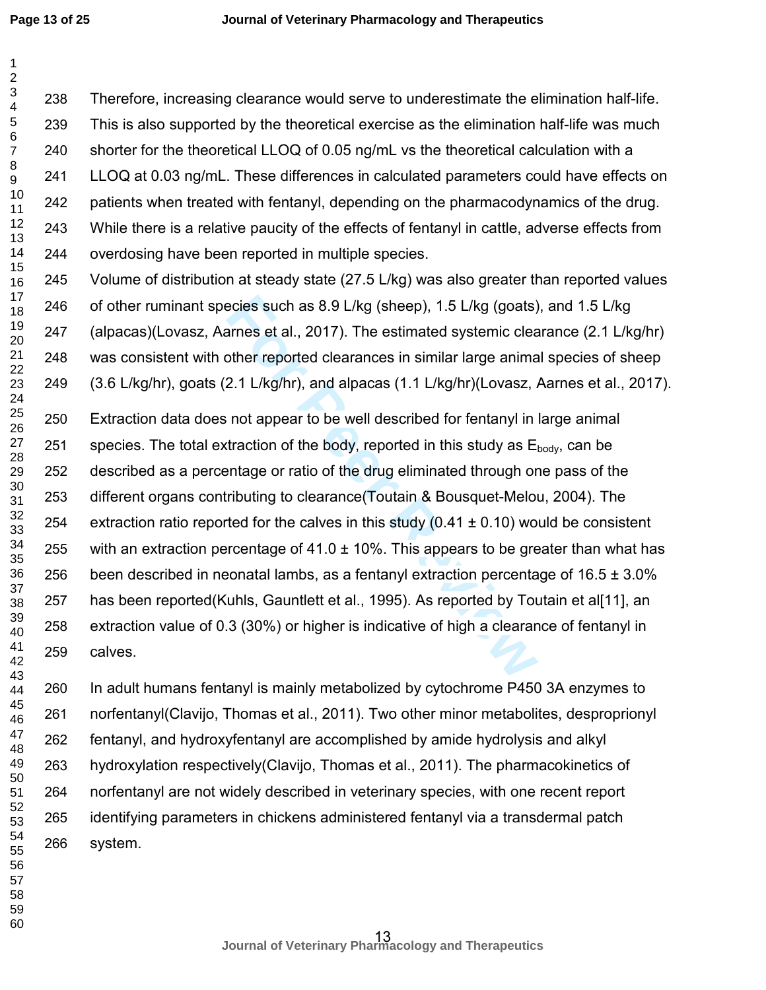**Page 13 of 25**

 $\mathbf{1}$ 

| 1<br>$\overline{c}$          |     |                                                                                              |
|------------------------------|-----|----------------------------------------------------------------------------------------------|
| 3<br>$\overline{\mathbf{4}}$ | 238 | Therefore, increasing clearance would serve to underestimate the elimination half-life.      |
| 5<br>6                       | 239 | This is also supported by the theoretical exercise as the elimination half-life was much     |
| $\overline{7}$               | 240 | shorter for the theoretical LLOQ of 0.05 ng/mL vs the theoretical calculation with a         |
| 8<br>9                       | 241 | LLOQ at 0.03 ng/mL. These differences in calculated parameters could have effects on         |
| 10<br>11                     | 242 | patients when treated with fentanyl, depending on the pharmacodynamics of the drug.          |
| 12<br>13                     | 243 | While there is a relative paucity of the effects of fentanyl in cattle, adverse effects from |
| 14                           | 244 | overdosing have been reported in multiple species.                                           |
| 15<br>16                     | 245 | Volume of distribution at steady state (27.5 L/kg) was also greater than reported values     |
| 17<br>18                     | 246 | of other ruminant species such as 8.9 L/kg (sheep), 1.5 L/kg (goats), and 1.5 L/kg           |
| 19<br>20                     | 247 | (alpacas)(Lovasz, Aarnes et al., 2017). The estimated systemic clearance (2.1 L/kg/hr)       |
| 21                           | 248 | was consistent with other reported clearances in similar large animal species of sheep       |
| 22<br>23<br>24               | 249 | (3.6 L/kg/hr), goats (2.1 L/kg/hr), and alpacas (1.1 L/kg/hr)(Lovasz, Aarnes et al., 2017).  |
| 25<br>26                     | 250 | Extraction data does not appear to be well described for fentanyl in large animal            |
| 27<br>28                     | 251 | species. The total extraction of the body, reported in this study as Ebody, can be           |
| 29                           | 252 | described as a percentage or ratio of the drug eliminated through one pass of the            |
| 30<br>31                     | 253 | different organs contributing to clearance (Toutain & Bousquet-Melou, 2004). The             |
| 32<br>33                     | 254 | extraction ratio reported for the calves in this study (0.41 $\pm$ 0.10) would be consistent |
| 34<br>35                     | 255 | with an extraction percentage of 41.0 $\pm$ 10%. This appears to be greater than what has    |
| 36                           | 256 | been described in neonatal lambs, as a fentanyl extraction percentage of $16.5 \pm 3.0\%$    |
| 37<br>38                     | 257 | has been reported(Kuhls, Gauntlett et al., 1995). As reported by Toutain et al[11], an       |
| 39<br>40                     | 258 | extraction value of 0.3 (30%) or higher is indicative of high a clearance of fentanyl in     |
| 41<br>42<br>43               | 259 | calves.                                                                                      |

In adult humans fentanyl is mainly metabolized by cytochrome P450 3A enzymes to norfentanyl(Clavijo, Thomas et al., 2011). Two other minor metabolites, desproprionyl fentanyl, and hydroxyfentanyl are accomplished by amide hydrolysis and alkyl hydroxylation respectively(Clavijo, Thomas et al., 2011). The pharmacokinetics of norfentanyl are not widely described in veterinary species, with one recent report identifying parameters in chickens administered fentanyl via a transdermal patch system.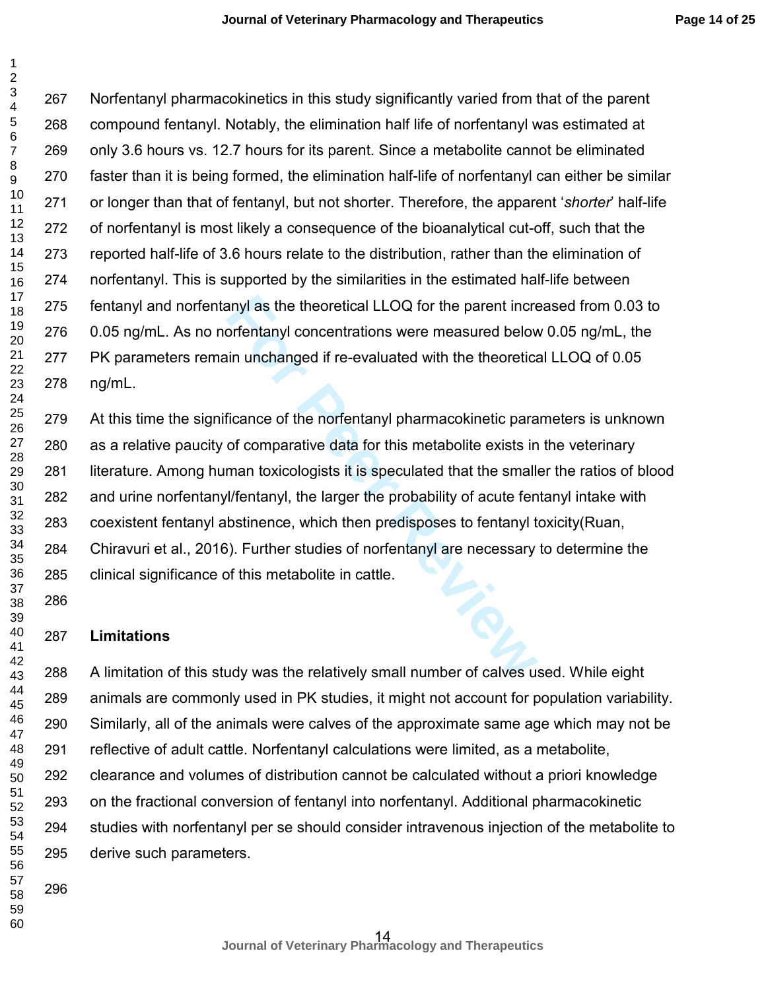Norfentanyl pharmacokinetics in this study significantly varied from that of the parent compound fentanyl. Notably, the elimination half life of norfentanyl was estimated at only 3.6 hours vs. 12.7 hours for its parent. Since a metabolite cannot be eliminated faster than it is being formed, the elimination half-life of norfentanyl can either be similar or longer than that of fentanyl, but not shorter. Therefore, the apparent '*shorter*' half-life of norfentanyl is most likely a consequence of the bioanalytical cut-off, such that the reported half-life of 3.6 hours relate to the distribution, rather than the elimination of norfentanyl. This is supported by the similarities in the estimated half-life between fentanyl and norfentanyl as the theoretical LLOQ for the parent increased from 0.03 to 0.05 ng/mL. As no norfentanyl concentrations were measured below 0.05 ng/mL, the PK parameters remain unchanged if re-evaluated with the theoretical LLOQ of 0.05 ng/mL. 

anyl as the theoretical LLOQ for the parent increases or fentanyl concentrations were measured below<br>tin unchanged if re-evaluated with the theoretical<br>ficance of the norfentanyl pharmacokinetic para<br>of comparative data fo At this time the significance of the norfentanyl pharmacokinetic parameters is unknown as a relative paucity of comparative data for this metabolite exists in the veterinary literature. Among human toxicologists it is speculated that the smaller the ratios of blood and urine norfentanyl/fentanyl, the larger the probability of acute fentanyl intake with coexistent fentanyl abstinence, which then predisposes to fentanyl toxicity(Ruan, Chiravuri et al., 2016). Further studies of norfentanyl are necessary to determine the clinical significance of this metabolite in cattle. 

#### **Limitations**

 

A limitation of this study was the relatively small number of calves used. While eight animals are commonly used in PK studies, it might not account for population variability. Similarly, all of the animals were calves of the approximate same age which may not be reflective of adult cattle. Norfentanyl calculations were limited, as a metabolite, clearance and volumes of distribution cannot be calculated without a priori knowledge on the fractional conversion of fentanyl into norfentanyl. Additional pharmacokinetic studies with norfentanyl per se should consider intravenous injection of the metabolite to derive such parameters.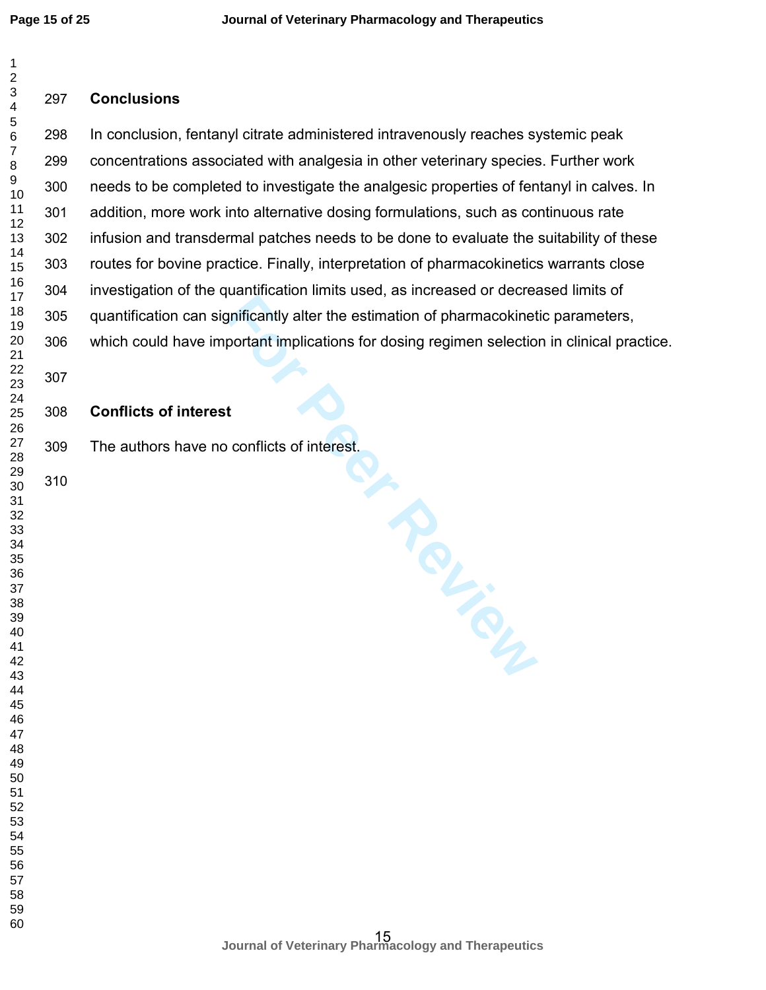$\mathbf 1$ 

#### $\overline{2}$ **Conclusions**   $\overline{\mathbf{4}}$ In conclusion, fentanyl citrate administered intravenously reaches systemic peak  $\overline{7}$ concentrations associated with analgesia in other veterinary species. Further work needs to be completed to investigate the analgesic properties of fentanyl in calves. In addition, more work into alternative dosing formulations, such as continuous rate infusion and transdermal patches needs to be done to evaluate the suitability of these routes for bovine practice. Finally, interpretation of pharmacokinetics warrants close investigation of the quantification limits used, as increased or decreased limits of quantification can significantly alter the estimation of pharmacokinetic parameters, which could have important implications for dosing regimen selection in clinical practice. **Conflicts of interest**  The authors have no conflicts of interest.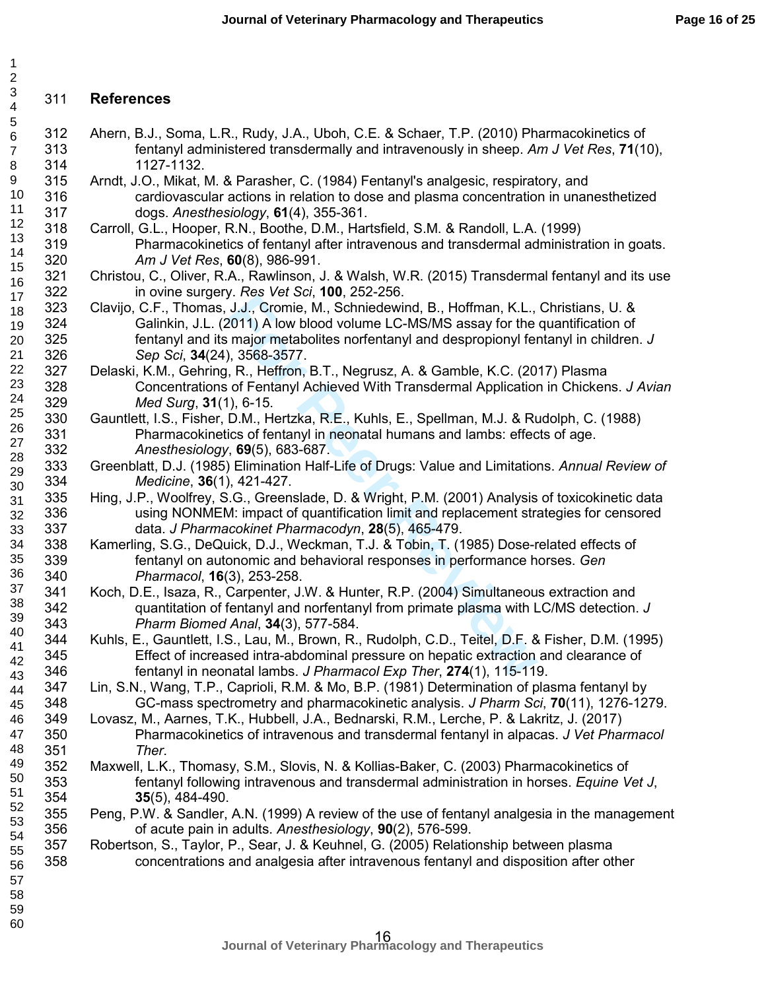# 311 **References**

123456789

 $\mathbf{1}$  $\overline{2}$ 3  $\overline{4}$ 5 6  $\overline{7}$ 8 9

23

- 312 Ahern, B.J., Soma, L.R., Rudy, J.A., Uboh, C.E. & Schaer, T.P. (2010) Pharmacokinetics of 313 fentanyl administered transdermally and intravenously in sheep. *Am J Vet Res*, **71**(10), 314 1127-1132.
- 315 Arndt, J.O., Mikat, M. & Parasher, C. (1984) Fentanyl's analgesic, respiratory, and 316 cardiovascular actions in relation to dose and plasma concentration in unanesthetized 317 dogs. *Anesthesiology*, **61**(4), 355-361. 10 11 12
	- 318 Carroll, G.L., Hooper, R.N., Boothe, D.M., Hartsfield, S.M. & Randoll, L.A. (1999) 319 Pharmacokinetics of fentanyl after intravenous and transdermal administration in goats. 320 *Am J Vet Res*, **60**(8), 986-991.
	- 321 Christou, C., Oliver, R.A., Rawlinson, J. & Walsh, W.R. (2015) Transdermal fentanyl and its use 322 in ovine surgery. *Res Vet Sci*, **100**, 252-256.
- Friest Cor, Toomie, M., Echildewind, B., Hoffman, K.L., J.J., Cromie, M., Schniedewind, B., Hoffman, K.L., 2011) A low blood volume LC-MS/MS assay for the major metabolites norfentanyl and despropionyl fer and the major me 323 Clavijo, C.F., Thomas, J.J., Cromie, M., Schniedewind, B., Hoffman, K.L., Christians, U. & 324 Galinkin, J.L. (2011) A low blood volume LC-MS/MS assay for the quantification of 325 fentanyl and its major metabolites norfentanyl and despropionyl fentanyl in children. *J*  326 *Sep Sci*, **34**(24), 3568-3577. 17 18 19 20 21
- 327 Delaski, K.M., Gehring, R., Heffron, B.T., Negrusz, A. & Gamble, K.C. (2017) Plasma 328 Concentrations of Fentanyl Achieved With Transdermal Application in Chickens. *J Avian*  329 *Med Surg*, **31**(1), 6-15. 22 24
	- 330 Gauntlett, I.S., Fisher, D.M., Hertzka, R.E., Kuhls, E., Spellman, M.J. & Rudolph, C. (1988) 331 Pharmacokinetics of fentanyl in neonatal humans and lambs: effects of age. 332 *Anesthesiology*, **69**(5), 683-687.
	- 333 Greenblatt, D.J. (1985) Elimination Half-Life of Drugs: Value and Limitations. *Annual Review of*  334 *Medicine*, **36**(1), 421-427.
	- 335 Hing, J.P., Woolfrey, S.G., Greenslade, D. & Wright, P.M. (2001) Analysis of toxicokinetic data 336 using NONMEM: impact of quantification limit and replacement strategies for censored 337 data. *J Pharmacokinet Pharmacodyn*, **28**(5), 465-479.
	- 338 Kamerling, S.G., DeQuick, D.J., Weckman, T.J. & Tobin, T. (1985) Dose-related effects of 339 fentanyl on autonomic and behavioral responses in performance horses. *Gen*  340 *Pharmacol*, **16**(3), 253-258.
	- 341 Koch, D.E., Isaza, R., Carpenter, J.W. & Hunter, R.P. (2004) Simultaneous extraction and 342 quantitation of fentanyl and norfentanyl from primate plasma with LC/MS detection. *J*  343 *Pharm Biomed Anal*, **34**(3), 577-584.
	- 344 Kuhls, E., Gauntlett, I.S., Lau, M., Brown, R., Rudolph, C.D., Teitel, D.F. & Fisher, D.M. (1995) 345 Effect of increased intra-abdominal pressure on hepatic extraction and clearance of 346 fentanyl in neonatal lambs. *J Pharmacol Exp Ther*, **274**(1), 115-119.
	- 347 Lin, S.N., Wang, T.P., Caprioli, R.M. & Mo, B.P. (1981) Determination of plasma fentanyl by 348 GC-mass spectrometry and pharmacokinetic analysis. *J Pharm Sci*, **70**(11), 1276-1279.
	- 349 Lovasz, M., Aarnes, T.K., Hubbell, J.A., Bednarski, R.M., Lerche, P. & Lakritz, J. (2017) 350 Pharmacokinetics of intravenous and transdermal fentanyl in alpacas. *J Vet Pharmacol*  351 *Ther*.
	- 352 Maxwell, L.K., Thomasy, S.M., Slovis, N. & Kollias-Baker, C. (2003) Pharmacokinetics of 353 fentanyl following intravenous and transdermal administration in horses. *Equine Vet J*, 354 **35**(5), 484-490.
	- 355 Peng, P.W. & Sandler, A.N. (1999) A review of the use of fentanyl analgesia in the management 356 of acute pain in adults. *Anesthesiology*, **90**(2), 576-599.
	- 357 Robertson, S., Taylor, P., Sear, J. & Keuhnel, G. (2005) Relationship between plasma 358 concentrations and analgesia after intravenous fentanyl and disposition after other
- 58 59
- 60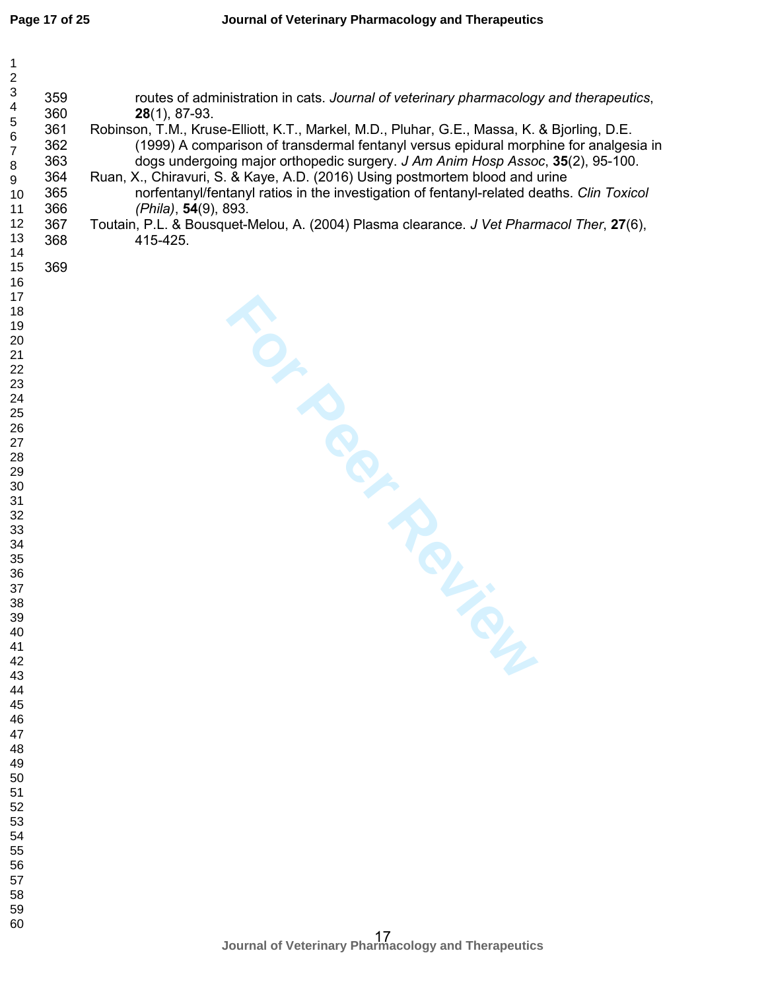| $\mathbf{1}$<br>$\overline{\mathbf{c}}$<br>$\ensuremath{\mathsf{3}}$<br>$\overline{\mathcal{A}}$<br>$\begin{array}{c} 5 \\ 6 \end{array}$<br>$\overline{7}$<br>$\bf 8$<br>9<br>10<br>11<br>12<br>13<br>14                                                                  | 359<br>360<br>361<br>362<br>363<br>364<br>365<br>366<br>367<br>368 | routes of administration in cats. Journal of veterinary pharmacology and therapeutics,<br>$28(1), 87-93.$<br>Robinson, T.M., Kruse-Elliott, K.T., Markel, M.D., Pluhar, G.E., Massa, K. & Bjorling, D.E.<br>(1999) A comparison of transdermal fentanyl versus epidural morphine for analgesia in<br>dogs undergoing major orthopedic surgery. J Am Anim Hosp Assoc, 35(2), 95-100.<br>Ruan, X., Chiravuri, S. & Kaye, A.D. (2016) Using postmortem blood and urine<br>norfentanyl/fentanyl ratios in the investigation of fentanyl-related deaths. Clin Toxicol<br>(Phila), 54(9), 893.<br>Toutain, P.L. & Bousquet-Melou, A. (2004) Plasma clearance. J Vet Pharmacol Ther, 27(6),<br>415-425. |
|----------------------------------------------------------------------------------------------------------------------------------------------------------------------------------------------------------------------------------------------------------------------------|--------------------------------------------------------------------|--------------------------------------------------------------------------------------------------------------------------------------------------------------------------------------------------------------------------------------------------------------------------------------------------------------------------------------------------------------------------------------------------------------------------------------------------------------------------------------------------------------------------------------------------------------------------------------------------------------------------------------------------------------------------------------------------|
| 15<br>16<br>17<br>18<br>19<br>20<br>21<br>22<br>23<br>24<br>25<br>26<br>27<br>28<br>29<br>30<br>31<br>32<br>33<br>34<br>35<br>36<br>37<br>38<br>39<br>40<br>41<br>42<br>43<br>44<br>45<br>46<br>47<br>48<br>49<br>50<br>51<br>52<br>53<br>54<br>55<br>56<br>57<br>58<br>59 | 369                                                                | TO- PROLIM                                                                                                                                                                                                                                                                                                                                                                                                                                                                                                                                                                                                                                                                                       |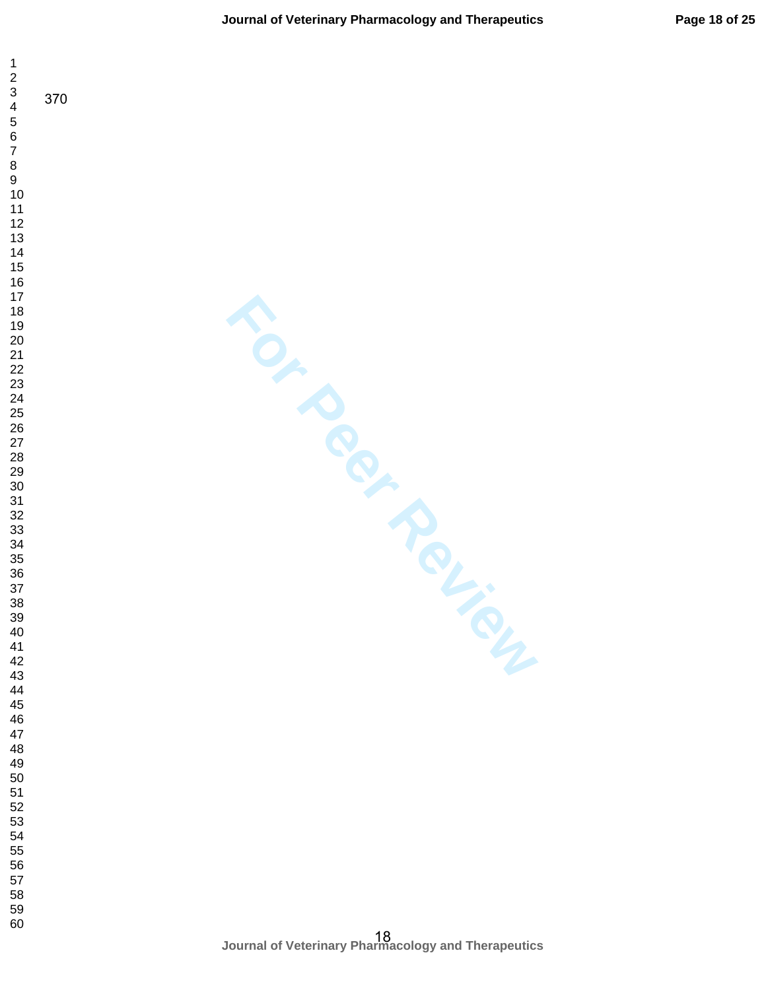$\mathbf 1$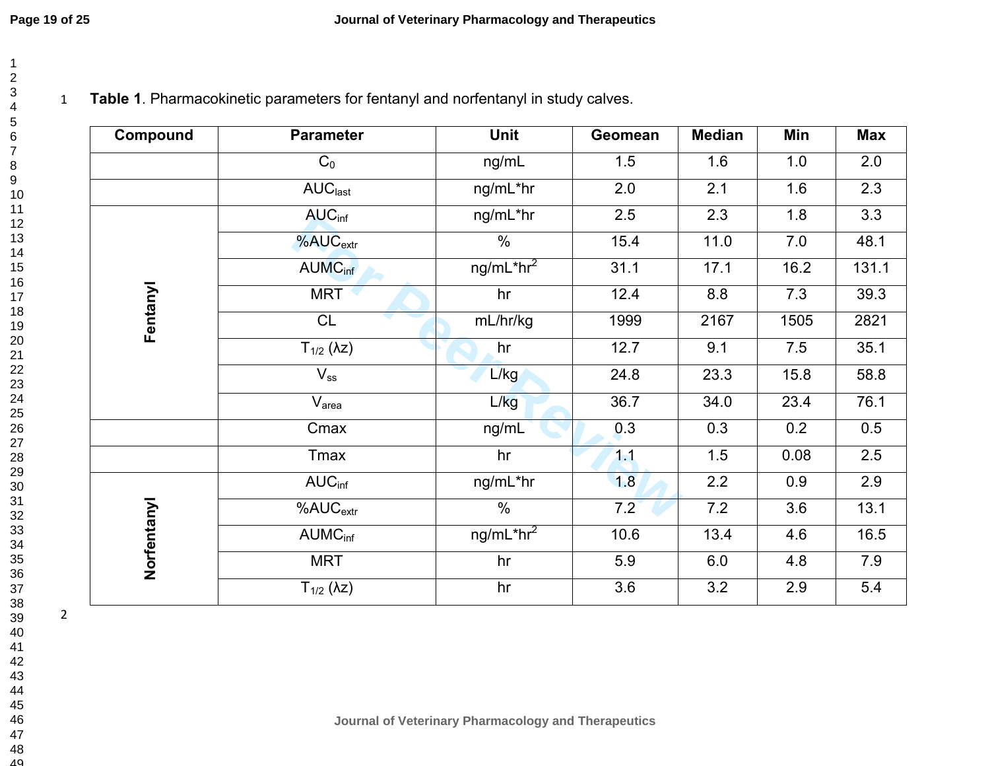# 1 **Table 1**. Pharmacokinetic parameters for fentanyl and norfentanyl in study calves.

| Compound    | <b>Parameter</b>                     | Unit                               | Geomean | <b>Median</b> | Min              | <b>Max</b>       |
|-------------|--------------------------------------|------------------------------------|---------|---------------|------------------|------------------|
|             | $C_0$                                | ng/mL                              | 1.5     | 1.6           | 1.0              | 2.0              |
|             | AUC <sub>last</sub>                  | ng/mL*hr                           | 2.0     | 2.1           | 1.6              | 2.3              |
|             | AUC <sub>inf</sub>                   | ng/mL*hr                           | 2.5     | 2.3           | 1.8              | $\overline{3.3}$ |
|             | %AUC <sub>extr</sub>                 | $\frac{0}{0}$                      | 15.4    | 11.0          | 7.0              | 48.1             |
|             | <b>AUMC<sub>inf</sub></b>            | ng/mL <sup>∗</sup> hr <sup>2</sup> | 31.1    | 17.1          | 16.2             | 131.1            |
| Fentanyl    | <b>MRT</b>                           | hr                                 | 12.4    | 8.8           | 7.3              | 39.3             |
|             | CL                                   | mL/hr/kg                           | 1999    | 2167          | 1505             | 2821             |
|             | $T_{1/2}$ ( $\lambda$ z)             | hr                                 | 12.7    | 9.1           | 7.5              | 35.1             |
|             | $V_{ss}$                             | L/kg                               | 24.8    | 23.3          | 15.8             | 58.8             |
|             | V <sub>area</sub>                    | L/kg                               | 36.7    | 34.0          | 23.4             | 76.1             |
|             | Cmax                                 | ng/mL                              | 0.3     | 0.3           | 0.2              | 0.5              |
|             | Tmax                                 | hr                                 | 1.1     | 1.5           | 0.08             | 2.5              |
|             | AUC <sub>inf</sub>                   | ng/mL*hr                           | 1.8     | 2.2           | 0.9              | 2.9              |
|             | $\overline{\%}$ AU $C_{\text{extr}}$ | $\%$                               | 7.2     | 7.2           | $\overline{3.6}$ | 13.1             |
|             | <b>AUMC</b> <sub>inf</sub>           | ng/mL*hr <sup>2</sup>              | 10.6    | 13.4          | 4.6              | 16.5             |
| Norfentanyl | <b>MRT</b>                           | hr                                 | 5.9     | 6.0           | 4.8              | 7.9              |
|             | $T_{1/2}$ ( $\lambda$ z)             | hr                                 | 3.6     | 3.2           | 2.9              | 5.4              |

2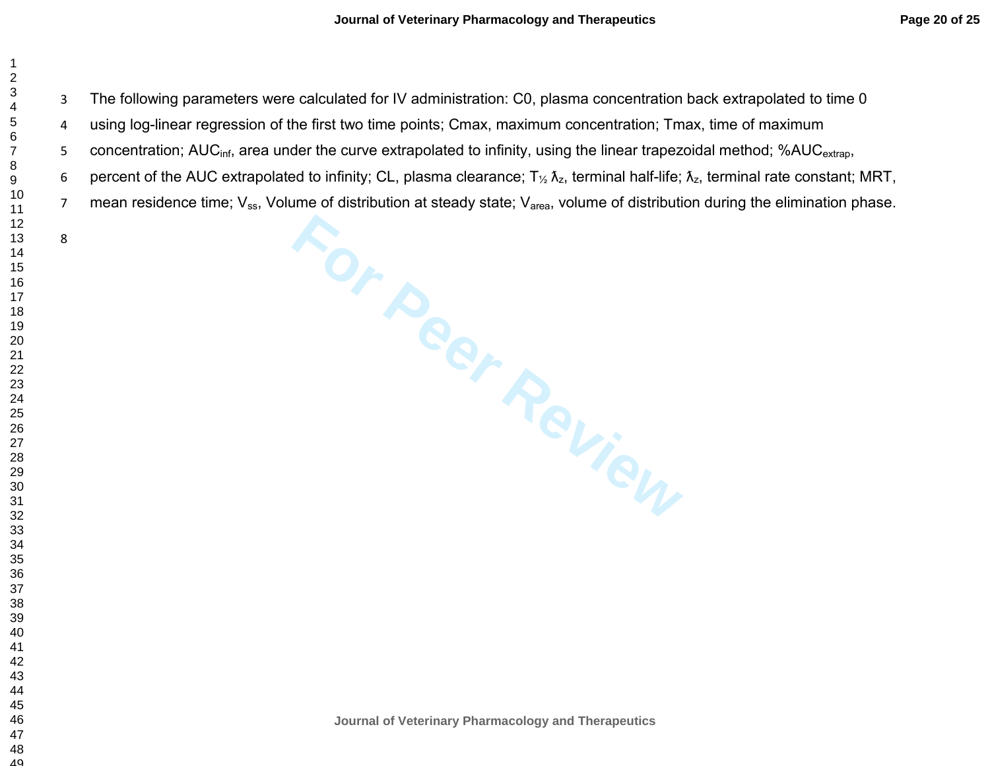The following parameters were calculated for IV administration: C0, plasma concentration back extrapolated to time 0

using log-linear regression of the first two time points; Cmax, maximum concentration; Tmax, time of maximum

5 concentration; AUC<sub>inf</sub>, area under the curve extrapolated to infinity, using the linear trapezoidal method; %AUC<sub>extrap</sub>,

6 percent of the AUC extrapolated to infinity; CL, plasma clearance; T $_{\frac{1}{2}}$   $\lambda_{z}$ , terminal half-life;  $\lambda_{z}$ , terminal rate constant; MRT,

7 mean residence time; V<sub>ss</sub>, Volume of distribution at steady state; V<sub>area</sub>, volume of distribution during the elimination phase.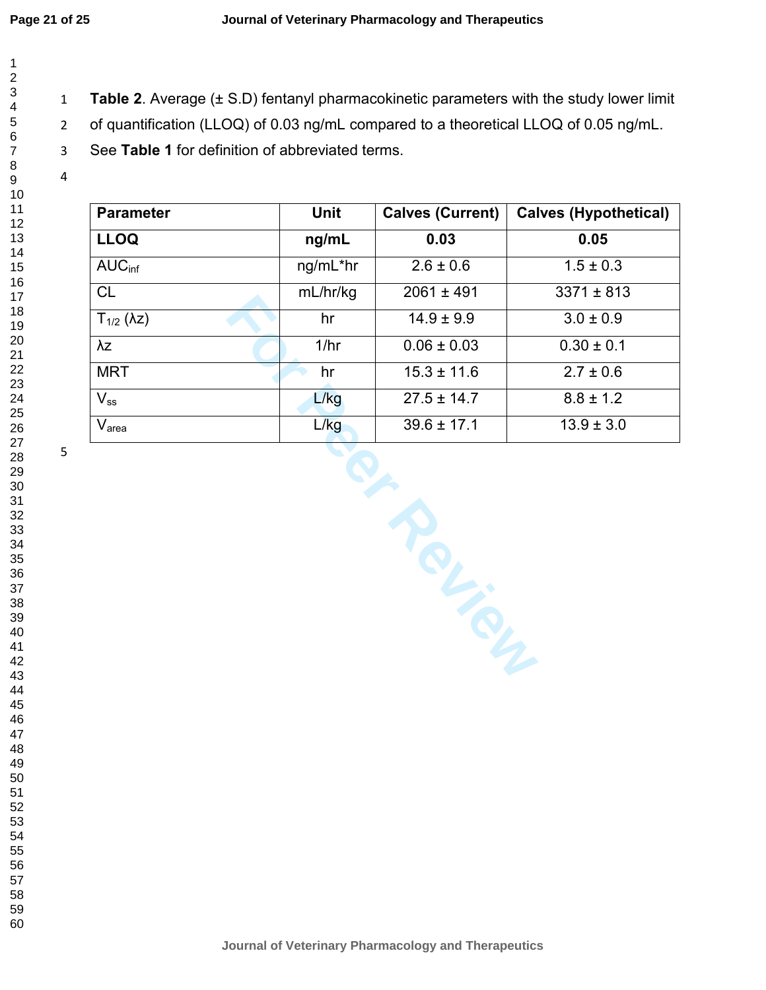$\mathbf{1}$  $\overline{2}$  $\overline{4}$  $\overline{7}$ 

- **Table 2**. Average (± S.D) fentanyl pharmacokinetic parameters with the study lower limit
- of quantification (LLOQ) of 0.03 ng/mL compared to a theoretical LLOQ of 0.05 ng/mL.
- See **Table 1** for definition of abbreviated terms.

| Unit     | <b>Calves (Current)</b> | <b>Calves (Hypothetical)</b> |  |  |  |
|----------|-------------------------|------------------------------|--|--|--|
| ng/mL    | 0.03                    | 0.05                         |  |  |  |
| ng/mL*hr | $2.6 \pm 0.6$           | $1.5 \pm 0.3$                |  |  |  |
| mL/hr/kg | $2061 \pm 491$          | $3371 \pm 813$               |  |  |  |
| hr       | $14.9 \pm 9.9$          | $3.0 \pm 0.9$                |  |  |  |
| 1/hr     | $0.06 \pm 0.03$         | $0.30 \pm 0.1$               |  |  |  |
| hr       | $15.3 \pm 11.6$         | $2.7 \pm 0.6$                |  |  |  |
| L/kg     | $27.5 \pm 14.7$         | $8.8 \pm 1.2$                |  |  |  |
| L/kg     | $39.6 \pm 17.1$         | $13.9 \pm 3.0$               |  |  |  |
| Royal    |                         |                              |  |  |  |
|          |                         |                              |  |  |  |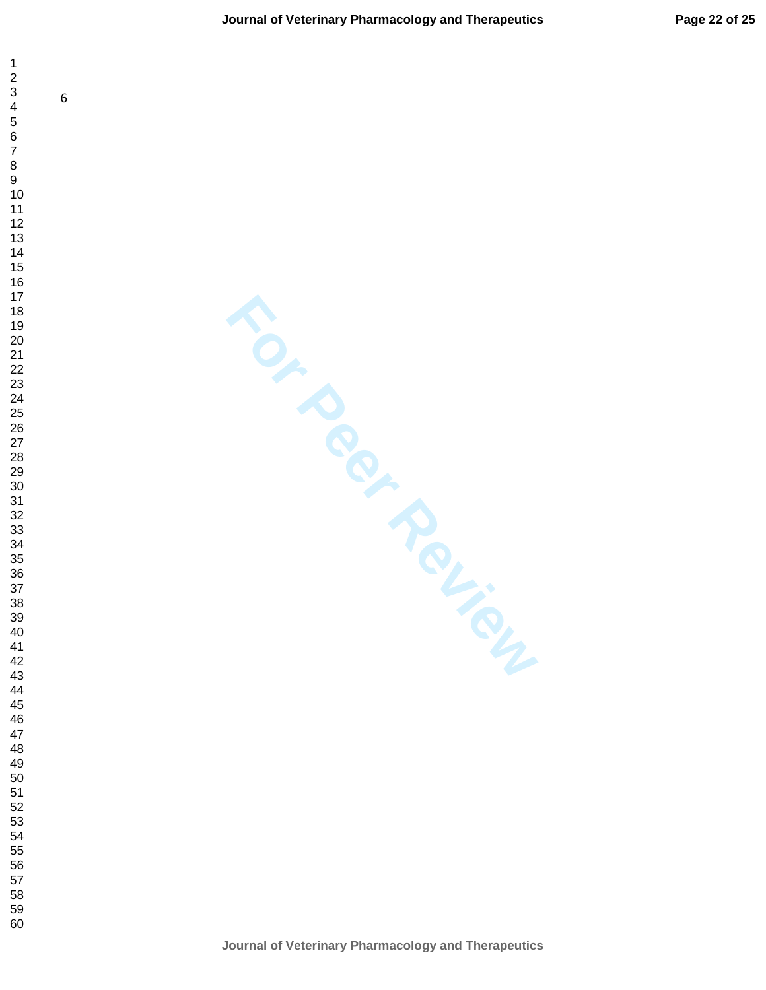$\mathbf{1}$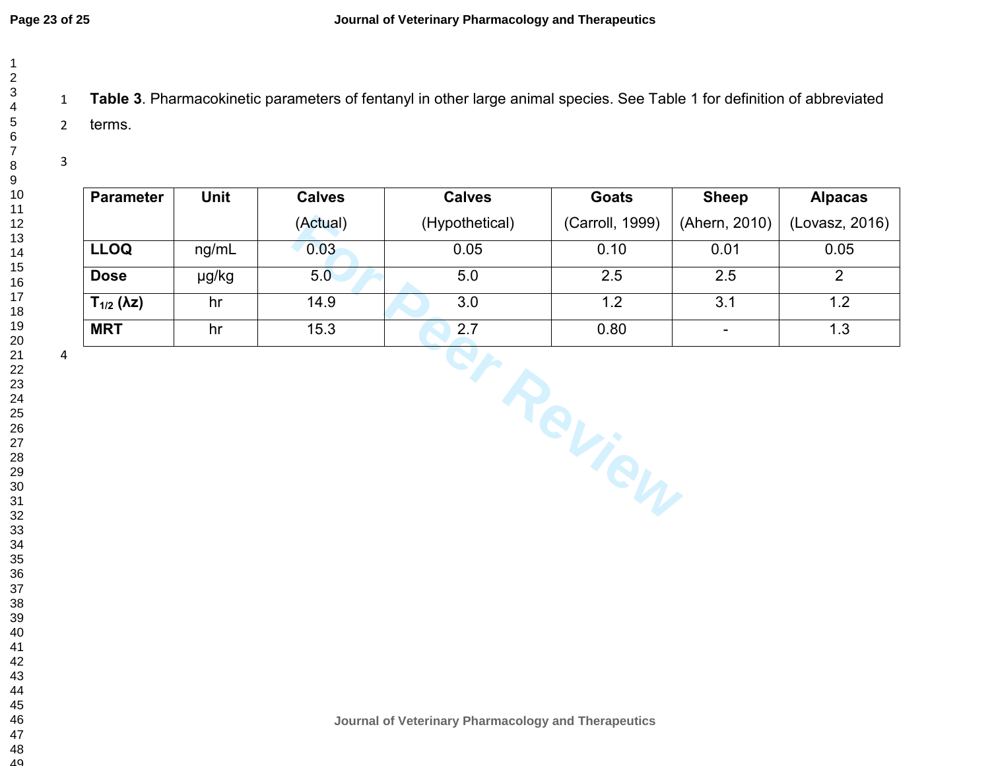**Table 3**. Pharmacokinetic parameters of fentanyl in other large animal species. See Table 1 for definition of abbreviated terms.

| <b>Parameter</b>         | <b>Unit</b> | <b>Calves</b> | <b>Calves</b>  | <b>Goats</b>    | <b>Sheep</b>                 | <b>Alpacas</b> |
|--------------------------|-------------|---------------|----------------|-----------------|------------------------------|----------------|
|                          |             | (Actual)      | (Hypothetical) | (Carroll, 1999) | (Ahern, 2010)                | (Lovasz, 2016) |
| <b>LLOQ</b>              | ng/mL       | 0.03          | 0.05           | 0.10            | 0.01                         | 0.05           |
| <b>Dose</b>              | µg/kg       | 5.0           | 5.0            | 2.5             | 2.5                          | 2              |
| $T_{1/2}$ ( $\lambda$ z) | hr          | 14.9          | 3.0            | 1.2             | 3.1                          | 1.2            |
| <b>MRT</b>               | hr          | 15.3          | 2.7            | 0.80            | $\qquad \qquad \blacksquare$ | 1.3            |
| 4                        |             |               |                | Teview          |                              |                |

**Journal of Veterinary Pharmacology and Therapeutics**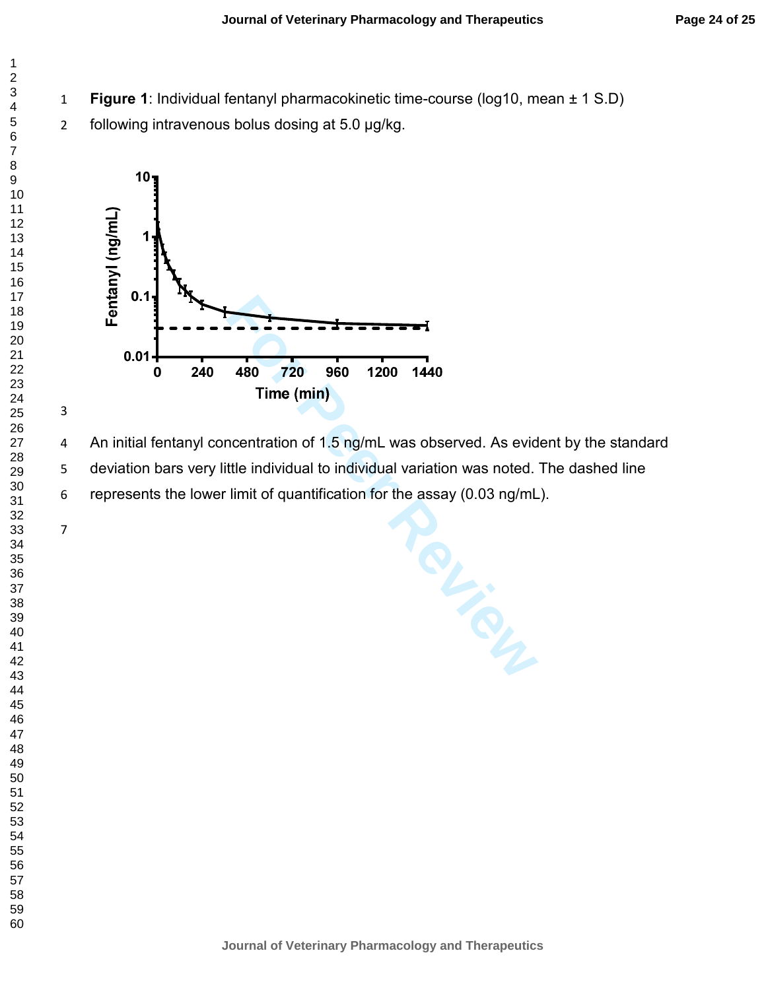- **Figure 1**: Individual fentanyl pharmacokinetic time-course (log10, mean ± 1 S.D)
- following intravenous bolus dosing at 5.0 µg/kg.



480 720 960 1200 1440<br>
Time (min)<br>
centration of 1.5 ng/mL was observed. As evide<br>
the individual to individual variation was noted.<br>
imit of quantification for the assay (0.03 ng/mL 4 An initial fentanyl concentration of 1.5 ng/mL was observed. As evident by the standard deviation bars very little individual to individual variation was noted. The dashed line represents the lower limit of quantification for the assay (0.03 ng/mL).